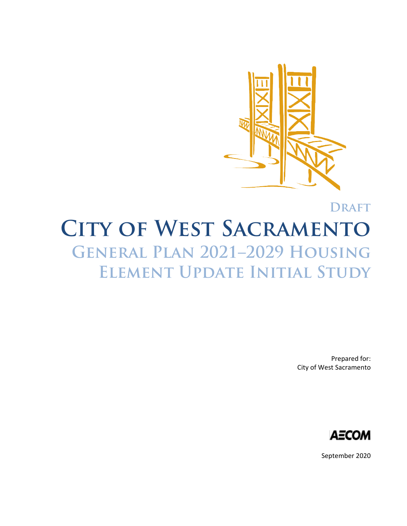

# **DRAFT CITY OF WEST SACRAMENTO General Plan 2021–2029 Housing Element Update Initial Study**

Prepared for: City of West Sacramento



September 2020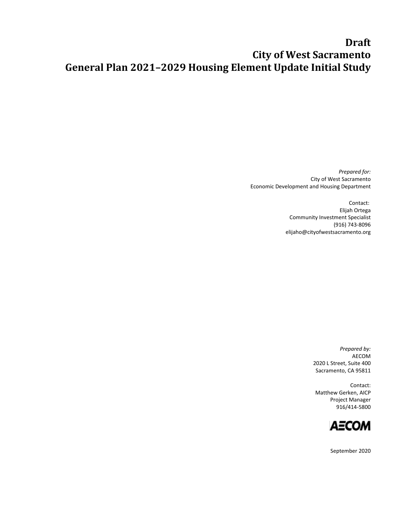### **Draft City of West Sacramento General Plan 2021–2029 Housing Element Update Initial Study**

*Prepared for:* City of West Sacramento Economic Development and Housing Department

> Contact: Elijah Ortega Community Investment Specialist (916) 743-8096 elijaho@cityofwestsacramento.org

> > *Prepared by:* AECOM 2020 L Street, Suite 400 Sacramento, CA 95811

> > Contact: Matthew Gerken, AICP Project Manager 916/414-5800



September 2020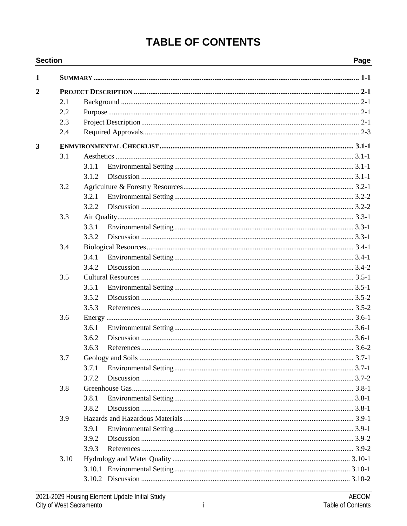# **TABLE OF CONTENTS**

|                  | <b>Section</b> |       | Page |
|------------------|----------------|-------|------|
| $\mathbf{1}$     |                |       |      |
| $\boldsymbol{2}$ |                |       |      |
|                  | 2.1            |       |      |
|                  | 2.2            |       |      |
|                  | 2.3            |       |      |
|                  | 2.4            |       |      |
| 3                |                |       |      |
|                  | 3.1            |       |      |
|                  |                | 3.1.1 |      |
|                  |                | 3.1.2 |      |
|                  | 3.2            |       |      |
|                  |                | 3.2.1 |      |
|                  |                | 3.2.2 |      |
|                  | 3.3            |       |      |
|                  |                | 3.3.1 |      |
|                  |                | 3.3.2 |      |
|                  | 3.4            |       |      |
|                  |                | 3.4.1 |      |
|                  |                | 3.4.2 |      |
|                  | 3.5            |       |      |
|                  |                | 3.5.1 |      |
|                  |                | 3.5.2 |      |
|                  |                | 3.5.3 |      |
|                  | 3.6            |       |      |
|                  |                | 3.6.1 |      |
|                  |                | 3.6.2 |      |
|                  |                | 3.6.3 |      |
|                  | 3.7            |       |      |
|                  |                | 3.7.1 |      |
|                  |                | 3.7.2 |      |
|                  | 3.8            |       |      |
|                  |                | 3.8.1 |      |
|                  |                | 3.8.2 |      |
|                  | 3.9            |       |      |
|                  |                | 3.9.1 |      |
|                  |                | 3.9.2 |      |
|                  |                | 3.9.3 |      |
|                  | 3.10           |       |      |
|                  |                |       |      |
|                  |                |       |      |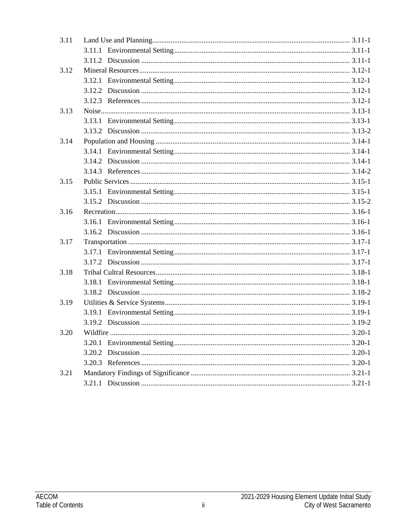| 3.11 |        |  |
|------|--------|--|
|      |        |  |
|      |        |  |
| 3.12 |        |  |
|      |        |  |
|      |        |  |
|      |        |  |
| 3.13 |        |  |
|      |        |  |
|      |        |  |
| 3.14 |        |  |
|      |        |  |
|      |        |  |
|      |        |  |
| 3.15 |        |  |
|      |        |  |
|      |        |  |
| 3.16 |        |  |
|      |        |  |
|      |        |  |
| 3.17 |        |  |
|      |        |  |
|      |        |  |
| 3.18 |        |  |
|      |        |  |
|      |        |  |
| 3.19 |        |  |
|      |        |  |
|      |        |  |
|      |        |  |
|      | 3.20.1 |  |
|      |        |  |
|      |        |  |
| 3.21 |        |  |
|      |        |  |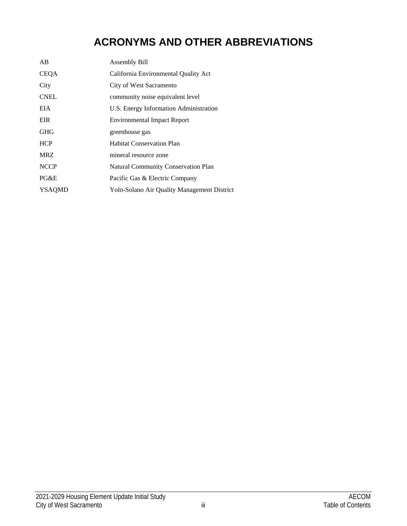# **ACRONYMS AND OTHER ABBREVIATIONS**

| Assembly Bill                                      |
|----------------------------------------------------|
| California Environmental Quality Act               |
| City of West Sacramento                            |
| community noise equivalent level                   |
| U.S. Energy Information Administration             |
| <b>Environmental Impact Report</b>                 |
| greenhouse gas                                     |
| <b>Habitat Conservation Plan</b>                   |
| mineral resource zone                              |
| Natural Community Conservation Plan                |
| Pacific Gas & Electric Company                     |
| <b>Yolo-Solano Air Quality Management District</b> |
|                                                    |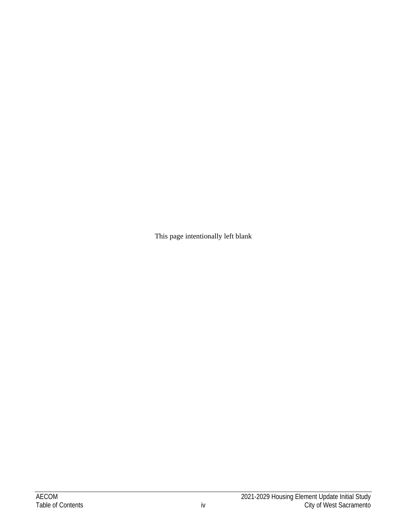This page intentionally left blank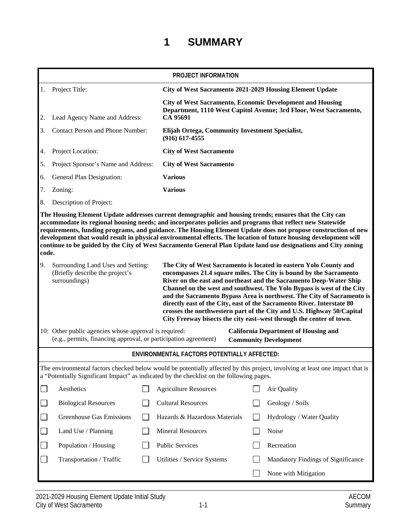## **1 SUMMARY**

|        |                                                                                                                                                                                                                     |  | PROJECT INFORMATION                                                 |  |  |                                                                                                                                                                                                                                                                                                                                                                                                                                                                                                                                                                                             |
|--------|---------------------------------------------------------------------------------------------------------------------------------------------------------------------------------------------------------------------|--|---------------------------------------------------------------------|--|--|---------------------------------------------------------------------------------------------------------------------------------------------------------------------------------------------------------------------------------------------------------------------------------------------------------------------------------------------------------------------------------------------------------------------------------------------------------------------------------------------------------------------------------------------------------------------------------------------|
|        | Project Title:                                                                                                                                                                                                      |  |                                                                     |  |  | City of West Sacramento 2021-2029 Housing Element Update                                                                                                                                                                                                                                                                                                                                                                                                                                                                                                                                    |
| 2.     | Lead Agency Name and Address:                                                                                                                                                                                       |  | CA 95691                                                            |  |  | <b>City of West Sacramento, Economic Development and Housing</b><br>Department, 1110 West Capitol Avenue; 3rd Floor, West Sacramento,                                                                                                                                                                                                                                                                                                                                                                                                                                                       |
| 3.     | <b>Contact Person and Phone Number:</b>                                                                                                                                                                             |  | Elijah Ortega, Community Investment Specialist,<br>$(916)$ 617-4555 |  |  |                                                                                                                                                                                                                                                                                                                                                                                                                                                                                                                                                                                             |
| 4.     | Project Location:                                                                                                                                                                                                   |  | <b>City of West Sacramento</b>                                      |  |  |                                                                                                                                                                                                                                                                                                                                                                                                                                                                                                                                                                                             |
| 5.     | Project Sponsor's Name and Address:                                                                                                                                                                                 |  | <b>City of West Sacramento</b>                                      |  |  |                                                                                                                                                                                                                                                                                                                                                                                                                                                                                                                                                                                             |
| 6.     | General Plan Designation:                                                                                                                                                                                           |  | <b>Various</b>                                                      |  |  |                                                                                                                                                                                                                                                                                                                                                                                                                                                                                                                                                                                             |
| 7.     | Zoning:                                                                                                                                                                                                             |  | <b>Various</b>                                                      |  |  |                                                                                                                                                                                                                                                                                                                                                                                                                                                                                                                                                                                             |
| 8.     | Description of Project:                                                                                                                                                                                             |  |                                                                     |  |  |                                                                                                                                                                                                                                                                                                                                                                                                                                                                                                                                                                                             |
| code.  | The Housing Element Update addresses current demographic and housing trends; ensures that the City can<br>accommodate its regional housing needs; and incorporates policies and programs that reflect new Statewide |  |                                                                     |  |  | requirements, funding programs, and guidance. The Housing Element Update does not propose construction of new<br>development that would result in physical environmental effects. The location of future housing development will<br>continue to be guided by the City of West Sacramento General Plan Update land use designations and City zoning                                                                                                                                                                                                                                         |
| 9.     | Surrounding Land Uses and Setting:<br>(Briefly describe the project's<br>surroundings)                                                                                                                              |  |                                                                     |  |  | The City of West Sacramento is located in eastern Yolo County and<br>encompasses 21.4 square miles. The City is bound by the Sacramento<br>River on the east and northeast and the Sacramento Deep-Water Ship<br>Channel on the west and southwest. The Yolo Bypass is west of the City<br>and the Sacramento Bypass Area is northwest. The City of Sacramento is<br>directly east of the City, east of the Sacramento River. Interstate 80<br>crosses the northwestern part of the City and U.S. Highway 50/Capital<br>City Freeway bisects the city east-west through the center of town. |
|        | 10: Other public agencies whose approval is required:<br>(e.g., permits, financing approval, or participation agreement)                                                                                            |  |                                                                     |  |  | <b>California Department of Housing and</b><br><b>Community Development</b>                                                                                                                                                                                                                                                                                                                                                                                                                                                                                                                 |
|        |                                                                                                                                                                                                                     |  | ENVIRONMENTAL FACTORS POTENTIALLY AFFECTED:                         |  |  |                                                                                                                                                                                                                                                                                                                                                                                                                                                                                                                                                                                             |
|        | a "Potentially Significant Impact" as indicated by the checklist on the following pages.                                                                                                                            |  |                                                                     |  |  | The environmental factors checked below would be potentially affected by this project, involving at least one impact that is                                                                                                                                                                                                                                                                                                                                                                                                                                                                |
|        | Aesthetics                                                                                                                                                                                                          |  | <b>Agriculture Resources</b>                                        |  |  | Air Quality                                                                                                                                                                                                                                                                                                                                                                                                                                                                                                                                                                                 |
| $\Box$ | <b>Biological Resources</b>                                                                                                                                                                                         |  | <b>Cultural Resources</b>                                           |  |  | Geology / Soils                                                                                                                                                                                                                                                                                                                                                                                                                                                                                                                                                                             |
| $\Box$ | <b>Greenhouse Gas Emissions</b>                                                                                                                                                                                     |  | Hazards & Hazardous Materials                                       |  |  | Hydrology / Water Quality                                                                                                                                                                                                                                                                                                                                                                                                                                                                                                                                                                   |
| $\Box$ | Land Use / Planning                                                                                                                                                                                                 |  | <b>Mineral Resources</b>                                            |  |  | Noise                                                                                                                                                                                                                                                                                                                                                                                                                                                                                                                                                                                       |
| $\Box$ | Population / Housing                                                                                                                                                                                                |  | <b>Public Services</b>                                              |  |  | Recreation                                                                                                                                                                                                                                                                                                                                                                                                                                                                                                                                                                                  |
| $\Box$ | Transportation / Traffic                                                                                                                                                                                            |  | Utilities / Service Systems                                         |  |  | Mandatory Findings of Significance                                                                                                                                                                                                                                                                                                                                                                                                                                                                                                                                                          |
|        |                                                                                                                                                                                                                     |  |                                                                     |  |  | None with Mitigation                                                                                                                                                                                                                                                                                                                                                                                                                                                                                                                                                                        |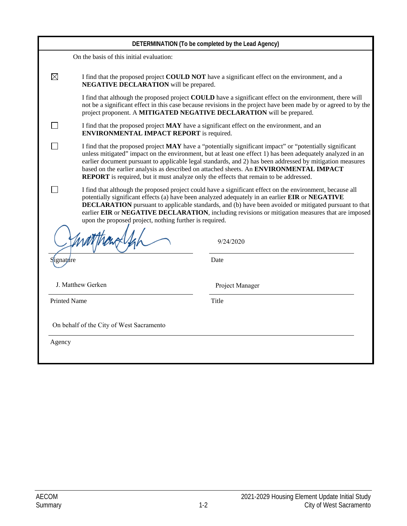|                                                                                                                                                                                                                                                                                                                                                                                                                                                                                                                               |                                                                                                                                                                                                                                                                                                                                                                                                                                                                                             | DETERMINATION (To be completed by the Lead Agency)                                                                                                                                                                                                                                                          |  |  |  |  |
|-------------------------------------------------------------------------------------------------------------------------------------------------------------------------------------------------------------------------------------------------------------------------------------------------------------------------------------------------------------------------------------------------------------------------------------------------------------------------------------------------------------------------------|---------------------------------------------------------------------------------------------------------------------------------------------------------------------------------------------------------------------------------------------------------------------------------------------------------------------------------------------------------------------------------------------------------------------------------------------------------------------------------------------|-------------------------------------------------------------------------------------------------------------------------------------------------------------------------------------------------------------------------------------------------------------------------------------------------------------|--|--|--|--|
|                                                                                                                                                                                                                                                                                                                                                                                                                                                                                                                               | On the basis of this initial evaluation:                                                                                                                                                                                                                                                                                                                                                                                                                                                    |                                                                                                                                                                                                                                                                                                             |  |  |  |  |
| $\boxtimes$                                                                                                                                                                                                                                                                                                                                                                                                                                                                                                                   | I find that the proposed project COULD NOT have a significant effect on the environment, and a<br><b>NEGATIVE DECLARATION</b> will be prepared.                                                                                                                                                                                                                                                                                                                                             |                                                                                                                                                                                                                                                                                                             |  |  |  |  |
|                                                                                                                                                                                                                                                                                                                                                                                                                                                                                                                               |                                                                                                                                                                                                                                                                                                                                                                                                                                                                                             | I find that although the proposed project <b>COULD</b> have a significant effect on the environment, there will<br>not be a significant effect in this case because revisions in the project have been made by or agreed to by the<br>project proponent. A MITIGATED NEGATIVE DECLARATION will be prepared. |  |  |  |  |
|                                                                                                                                                                                                                                                                                                                                                                                                                                                                                                                               | <b>ENVIRONMENTAL IMPACT REPORT</b> is required.                                                                                                                                                                                                                                                                                                                                                                                                                                             | I find that the proposed project MAY have a significant effect on the environment, and an                                                                                                                                                                                                                   |  |  |  |  |
| I find that the proposed project MAY have a "potentially significant impact" or "potentially significant<br>unless mitigated" impact on the environment, but at least one effect 1) has been adequately analyzed in an<br>earlier document pursuant to applicable legal standards, and 2) has been addressed by mitigation measures<br>based on the earlier analysis as described on attached sheets. An ENVIRONMENTAL IMPACT<br><b>REPORT</b> is required, but it must analyze only the effects that remain to be addressed. |                                                                                                                                                                                                                                                                                                                                                                                                                                                                                             |                                                                                                                                                                                                                                                                                                             |  |  |  |  |
|                                                                                                                                                                                                                                                                                                                                                                                                                                                                                                                               | I find that although the proposed project could have a significant effect on the environment, because all<br>potentially significant effects (a) have been analyzed adequately in an earlier EIR or NEGATIVE<br><b>DECLARATION</b> pursuant to applicable standards, and (b) have been avoided or mitigated pursuant to that<br>earlier EIR or NEGATIVE DECLARATION, including revisions or mitigation measures that are imposed<br>upon the proposed project, nothing further is required. |                                                                                                                                                                                                                                                                                                             |  |  |  |  |
|                                                                                                                                                                                                                                                                                                                                                                                                                                                                                                                               |                                                                                                                                                                                                                                                                                                                                                                                                                                                                                             | 9/24/2020                                                                                                                                                                                                                                                                                                   |  |  |  |  |
| Signat dre                                                                                                                                                                                                                                                                                                                                                                                                                                                                                                                    |                                                                                                                                                                                                                                                                                                                                                                                                                                                                                             | Date                                                                                                                                                                                                                                                                                                        |  |  |  |  |
|                                                                                                                                                                                                                                                                                                                                                                                                                                                                                                                               | J. Matthew Gerken                                                                                                                                                                                                                                                                                                                                                                                                                                                                           | Project Manager                                                                                                                                                                                                                                                                                             |  |  |  |  |
| <b>Printed Name</b>                                                                                                                                                                                                                                                                                                                                                                                                                                                                                                           |                                                                                                                                                                                                                                                                                                                                                                                                                                                                                             | Title                                                                                                                                                                                                                                                                                                       |  |  |  |  |
| On behalf of the City of West Sacramento                                                                                                                                                                                                                                                                                                                                                                                                                                                                                      |                                                                                                                                                                                                                                                                                                                                                                                                                                                                                             |                                                                                                                                                                                                                                                                                                             |  |  |  |  |
| Agency                                                                                                                                                                                                                                                                                                                                                                                                                                                                                                                        |                                                                                                                                                                                                                                                                                                                                                                                                                                                                                             |                                                                                                                                                                                                                                                                                                             |  |  |  |  |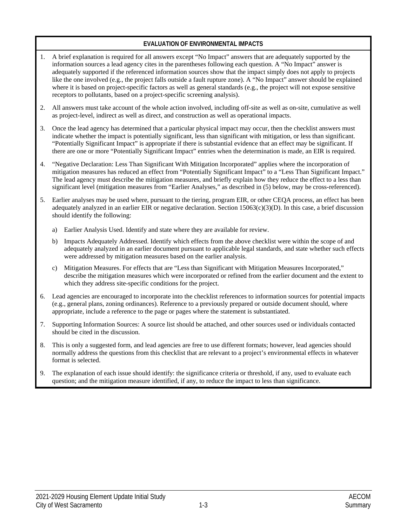#### **EVALUATION OF ENVIRONMENTAL IMPACTS**

- 1. A brief explanation is required for all answers except "No Impact" answers that are adequately supported by the information sources a lead agency cites in the parentheses following each question. A "No Impact" answer is adequately supported if the referenced information sources show that the impact simply does not apply to projects like the one involved (e.g., the project falls outside a fault rupture zone). A "No Impact" answer should be explained where it is based on project-specific factors as well as general standards (e.g., the project will not expose sensitive receptors to pollutants, based on a project-specific screening analysis).
- 2. All answers must take account of the whole action involved, including off-site as well as on-site, cumulative as well as project-level, indirect as well as direct, and construction as well as operational impacts.
- 3. Once the lead agency has determined that a particular physical impact may occur, then the checklist answers must indicate whether the impact is potentially significant, less than significant with mitigation, or less than significant. "Potentially Significant Impact" is appropriate if there is substantial evidence that an effect may be significant. If there are one or more "Potentially Significant Impact" entries when the determination is made, an EIR is required.
- 4. "Negative Declaration: Less Than Significant With Mitigation Incorporated" applies where the incorporation of mitigation measures has reduced an effect from "Potentially Significant Impact" to a "Less Than Significant Impact." The lead agency must describe the mitigation measures, and briefly explain how they reduce the effect to a less than significant level (mitigation measures from "Earlier Analyses," as described in (5) below, may be cross-referenced).
- 5. Earlier analyses may be used where, pursuant to the tiering, program EIR, or other CEQA process, an effect has been adequately analyzed in an earlier EIR or negative declaration. Section 15063(c)(3)(D). In this case, a brief discussion should identify the following:
	- a) Earlier Analysis Used. Identify and state where they are available for review.
	- b) Impacts Adequately Addressed. Identify which effects from the above checklist were within the scope of and adequately analyzed in an earlier document pursuant to applicable legal standards, and state whether such effects were addressed by mitigation measures based on the earlier analysis.
	- c) Mitigation Measures. For effects that are "Less than Significant with Mitigation Measures Incorporated," describe the mitigation measures which were incorporated or refined from the earlier document and the extent to which they address site-specific conditions for the project.
- 6. Lead agencies are encouraged to incorporate into the checklist references to information sources for potential impacts (e.g., general plans, zoning ordinances). Reference to a previously prepared or outside document should, where appropriate, include a reference to the page or pages where the statement is substantiated.
- 7. Supporting Information Sources: A source list should be attached, and other sources used or individuals contacted should be cited in the discussion.
- 8. This is only a suggested form, and lead agencies are free to use different formats; however, lead agencies should normally address the questions from this checklist that are relevant to a project's environmental effects in whatever format is selected.
- 9. The explanation of each issue should identify: the significance criteria or threshold, if any, used to evaluate each question; and the mitigation measure identified, if any, to reduce the impact to less than significance.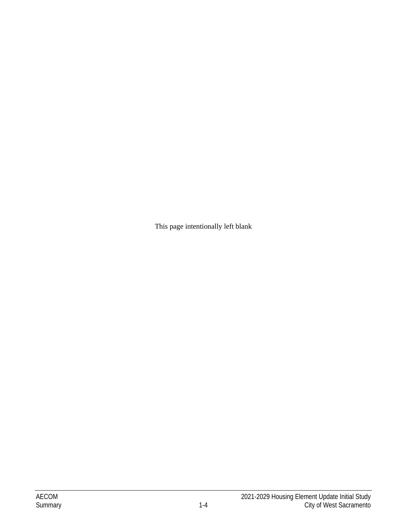This page intentionally left blank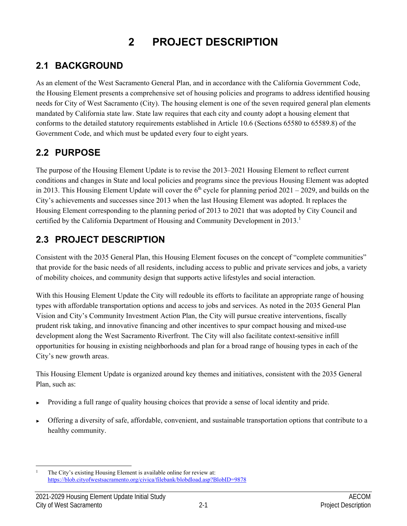# **2 PROJECT DESCRIPTION**

### **2.1 BACKGROUND**

As an element of the West Sacramento General Plan, and in accordance with the California Government Code, the Housing Element presents a comprehensive set of housing policies and programs to address identified housing needs for City of West Sacramento (City). The housing element is one of the seven required general plan elements mandated by California state law. State law requires that each city and county adopt a housing element that conforms to the detailed statutory requirements established in Article 10.6 (Sections 65580 to 65589.8) of the Government Code, and which must be updated every four to eight years.

### **2.2 PURPOSE**

The purpose of the Housing Element Update is to revise the 2013–2021 Housing Element to reflect current conditions and changes in State and local policies and programs since the previous Housing Element was adopted in 2013. This Housing Element Update will cover the  $6<sup>th</sup>$  cycle for planning period 2021 – 2029, and builds on the City's achievements and successes since 2013 when the last Housing Element was adopted. It replaces the Housing Element corresponding to the planning period of 2013 to 2021 that was adopted by City Council and certified by the California Department of Housing and Community Development in 2013.<sup>1</sup>

### **2.3 PROJECT DESCRIPTION**

Consistent with the 2035 General Plan, this Housing Element focuses on the concept of "complete communities" that provide for the basic needs of all residents, including access to public and private services and jobs, a variety of mobility choices, and community design that supports active lifestyles and social interaction.

With this Housing Element Update the City will redouble its efforts to facilitate an appropriate range of housing types with affordable transportation options and access to jobs and services. As noted in the 2035 General Plan Vision and City's Community Investment Action Plan, the City will pursue creative interventions, fiscally prudent risk taking, and innovative financing and other incentives to spur compact housing and mixed-use development along the West Sacramento Riverfront. The City will also facilitate context-sensitive infill opportunities for housing in existing neighborhoods and plan for a broad range of housing types in each of the City's new growth areas.

This Housing Element Update is organized around key themes and initiatives, consistent with the 2035 General Plan, such as:

- Providing a full range of quality housing choices that provide a sense of local identity and pride.
- ► Offering a diversity of safe, affordable, convenient, and sustainable transportation options that contribute to a healthy community.

The City's existing Housing Element is available online for review at: https://blob.cityofwestsacramento.org/civica/filebank/blobdload.asp?BlobID=9878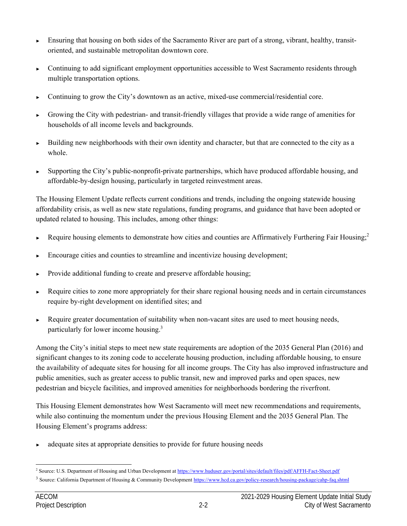- ► Ensuring that housing on both sides of the Sacramento River are part of a strong, vibrant, healthy, transitoriented, and sustainable metropolitan downtown core.
- Continuing to add significant employment opportunities accessible to West Sacramento residents through multiple transportation options.
- Continuing to grow the City's downtown as an active, mixed-use commercial/residential core.
- Growing the City with pedestrian- and transit-friendly villages that provide a wide range of amenities for households of all income levels and backgrounds.
- ► Building new neighborhoods with their own identity and character, but that are connected to the city as a whole.
- Supporting the City's public-nonprofit-private partnerships, which have produced affordable housing, and affordable-by-design housing, particularly in targeted reinvestment areas.

The Housing Element Update reflects current conditions and trends, including the ongoing statewide housing affordability crisis, as well as new state regulations, funding programs, and guidance that have been adopted or updated related to housing. This includes, among other things:

- Require housing elements to demonstrate how cities and counties are Affirmatively Furthering Fair Housing;<sup>2</sup>
- Encourage cities and counties to streamline and incentivize housing development;
- Provide additional funding to create and preserve affordable housing;
- Require cities to zone more appropriately for their share regional housing needs and in certain circumstances require by-right development on identified sites; and
- ► Require greater documentation of suitability when non-vacant sites are used to meet housing needs, particularly for lower income housing.3

Among the City's initial steps to meet new state requirements are adoption of the 2035 General Plan (2016) and significant changes to its zoning code to accelerate housing production, including affordable housing, to ensure the availability of adequate sites for housing for all income groups. The City has also improved infrastructure and public amenities, such as greater access to public transit, new and improved parks and open spaces, new pedestrian and bicycle facilities, and improved amenities for neighborhoods bordering the riverfront.

This Housing Element demonstrates how West Sacramento will meet new recommendations and requirements, while also continuing the momentum under the previous Housing Element and the 2035 General Plan. The Housing Element's programs address:

adequate sites at appropriate densities to provide for future housing needs

<sup>&</sup>lt;sup>2</sup> Source: U.S. Department of Housing and Urban Development at https://www.huduser.gov/portal/sites/default/files/pdf/AFFH-Fact-Sheet.pdf

<sup>3</sup> Source: California Department of Housing & Community Development https://www.hcd.ca.gov/policy-research/housing-package/cahp-faq.shtml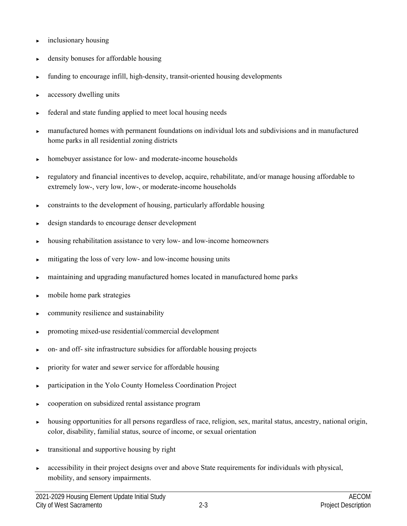- inclusionary housing
- density bonuses for affordable housing
- funding to encourage infill, high-density, transit-oriented housing developments
- accessory dwelling units
- federal and state funding applied to meet local housing needs
- manufactured homes with permanent foundations on individual lots and subdivisions and in manufactured home parks in all residential zoning districts
- homebuyer assistance for low- and moderate-income households
- regulatory and financial incentives to develop, acquire, rehabilitate, and/or manage housing affordable to extremely low-, very low, low-, or moderate-income households
- constraints to the development of housing, particularly affordable housing
- design standards to encourage denser development
- housing rehabilitation assistance to very low- and low-income homeowners
- mitigating the loss of very low- and low-income housing units
- maintaining and upgrading manufactured homes located in manufactured home parks
- mobile home park strategies
- community resilience and sustainability
- promoting mixed-use residential/commercial development
- on- and off- site infrastructure subsidies for affordable housing projects
- priority for water and sewer service for affordable housing
- participation in the Yolo County Homeless Coordination Project
- ► cooperation on subsidized rental assistance program
- housing opportunities for all persons regardless of race, religion, sex, marital status, ancestry, national origin, color, disability, familial status, source of income, or sexual orientation
- transitional and supportive housing by right
- accessibility in their project designs over and above State requirements for individuals with physical, mobility, and sensory impairments.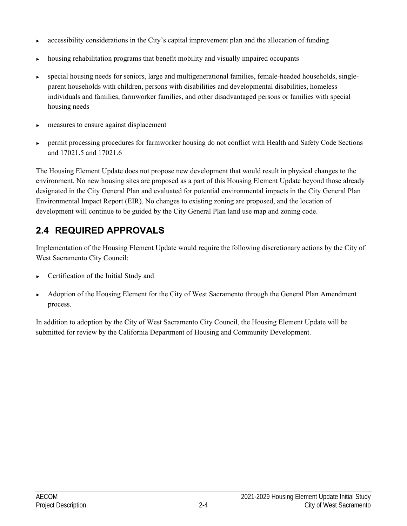- accessibility considerations in the City's capital improvement plan and the allocation of funding
- housing rehabilitation programs that benefit mobility and visually impaired occupants
- special housing needs for seniors, large and multigenerational families, female-headed households, singleparent households with children, persons with disabilities and developmental disabilities, homeless individuals and families, farmworker families, and other disadvantaged persons or families with special housing needs
- measures to ensure against displacement
- permit processing procedures for farmworker housing do not conflict with Health and Safety Code Sections and 17021.5 and 17021.6

The Housing Element Update does not propose new development that would result in physical changes to the environment. No new housing sites are proposed as a part of this Housing Element Update beyond those already designated in the City General Plan and evaluated for potential environmental impacts in the City General Plan Environmental Impact Report (EIR). No changes to existing zoning are proposed, and the location of development will continue to be guided by the City General Plan land use map and zoning code.

# **2.4 REQUIRED APPROVALS**

Implementation of the Housing Element Update would require the following discretionary actions by the City of West Sacramento City Council:

- ► Certification of the Initial Study and
- Adoption of the Housing Element for the City of West Sacramento through the General Plan Amendment process.

In addition to adoption by the City of West Sacramento City Council, the Housing Element Update will be submitted for review by the California Department of Housing and Community Development.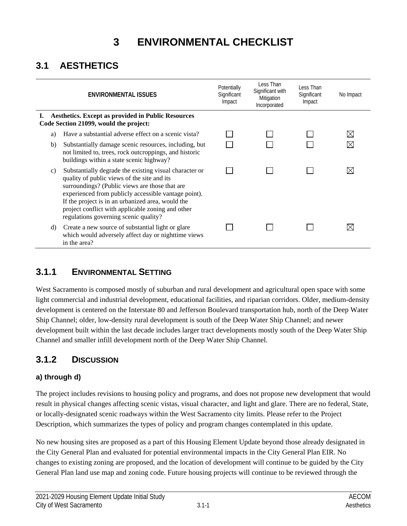# **3 ENVIRONMENTAL CHECKLIST**

### **3.1 AESTHETICS**

|    | <b>ENVIRONMENTAL ISSUES</b>                                                                                                                                                                                                                                                                                                                                        | Potentially<br>Significant<br>Impact | Less Than<br>Significant with<br>Mitigation<br>Incorporated | Less Than<br>Significant<br>Impact | No Impact   |  |  |
|----|--------------------------------------------------------------------------------------------------------------------------------------------------------------------------------------------------------------------------------------------------------------------------------------------------------------------------------------------------------------------|--------------------------------------|-------------------------------------------------------------|------------------------------------|-------------|--|--|
|    | <b>Aesthetics. Except as provided in Public Resources</b><br>Code Section 21099, would the project:                                                                                                                                                                                                                                                                |                                      |                                                             |                                    |             |  |  |
| a) | Have a substantial adverse effect on a scenic vista?                                                                                                                                                                                                                                                                                                               |                                      |                                                             |                                    | $\boxtimes$ |  |  |
| b) | Substantially damage scenic resources, including, but<br>not limited to, trees, rock outcroppings, and historic<br>buildings within a state scenic highway?                                                                                                                                                                                                        |                                      |                                                             |                                    | $\bowtie$   |  |  |
| C) | Substantially degrade the existing visual character or<br>quality of public views of the site and its<br>surroundings? (Public views are those that are<br>experienced from publicly accessible vantage point).<br>If the project is in an urbanized area, would the<br>project conflict with applicable zoning and other<br>regulations governing scenic quality? |                                      |                                                             |                                    | $\bowtie$   |  |  |
| d) | Create a new source of substantial light or glare<br>which would adversely affect day or nighttime views<br>in the area?                                                                                                                                                                                                                                           |                                      |                                                             |                                    | $\bowtie$   |  |  |

#### **3.1.1 ENVIRONMENTAL SETTING**

West Sacramento is composed mostly of suburban and rural development and agricultural open space with some light commercial and industrial development, educational facilities, and riparian corridors. Older, medium-density development is centered on the Interstate 80 and Jefferson Boulevard transportation hub, north of the Deep Water Ship Channel; older, low-density rural development is south of the Deep Water Ship Channel; and newer development built within the last decade includes larger tract developments mostly south of the Deep Water Ship Channel and smaller infill development north of the Deep Water Ship Channel.

### **3.1.2 DISCUSSION**

#### **a) through d)**

The project includes revisions to housing policy and programs, and does not propose new development that would result in physical changes affecting scenic vistas, visual character, and light and glare. There are no federal, State, or locally-designated scenic roadways within the West Sacramento city limits. Please refer to the Project Description, which summarizes the types of policy and program changes contemplated in this update.

No new housing sites are proposed as a part of this Housing Element Update beyond those already designated in the City General Plan and evaluated for potential environmental impacts in the City General Plan EIR. No changes to existing zoning are proposed, and the location of development will continue to be guided by the City General Plan land use map and zoning code. Future housing projects will continue to be reviewed through the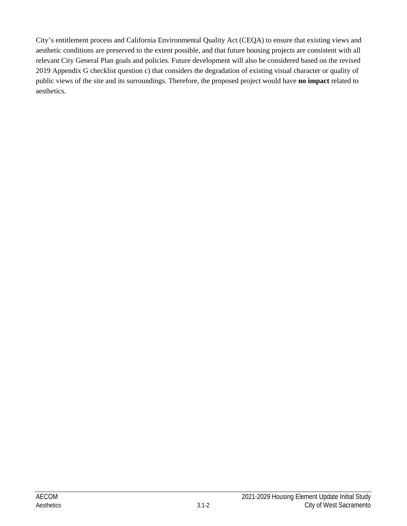City's entitlement process and California Environmental Quality Act (CEQA) to ensure that existing views and aesthetic conditions are preserved to the extent possible, and that future housing projects are consistent with all relevant City General Plan goals and policies. Future development will also be considered based on the revised 2019 Appendix G checklist question c) that considers the degradation of existing visual character or quality of public views of the site and its surroundings. Therefore, the proposed project would have **no impact** related to aesthetics.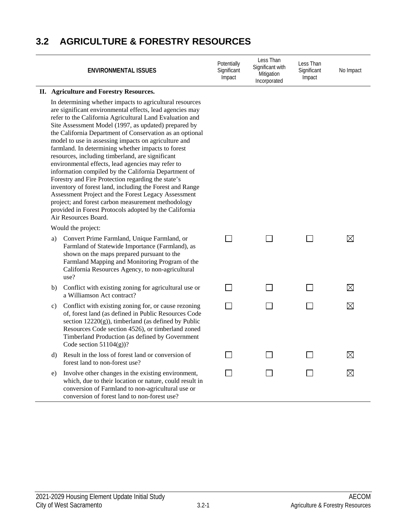### **3.2 AGRICULTURE & FORESTRY RESOURCES**

|    | <b>ENVIRONMENTAL ISSUES</b>                                                                                                                                                                                                                                                                                                                                                                                                                                                                                                                                                                                                                                                                                                                                                                                                                                                                          | Potentially<br>Significant<br>Impact | Less Than<br>Significant with<br>Mitigation<br>Incorporated | Less Than<br>Significant<br>Impact | No Impact   |
|----|------------------------------------------------------------------------------------------------------------------------------------------------------------------------------------------------------------------------------------------------------------------------------------------------------------------------------------------------------------------------------------------------------------------------------------------------------------------------------------------------------------------------------------------------------------------------------------------------------------------------------------------------------------------------------------------------------------------------------------------------------------------------------------------------------------------------------------------------------------------------------------------------------|--------------------------------------|-------------------------------------------------------------|------------------------------------|-------------|
|    | II. Agriculture and Forestry Resources.                                                                                                                                                                                                                                                                                                                                                                                                                                                                                                                                                                                                                                                                                                                                                                                                                                                              |                                      |                                                             |                                    |             |
|    | In determining whether impacts to agricultural resources<br>are significant environmental effects, lead agencies may<br>refer to the California Agricultural Land Evaluation and<br>Site Assessment Model (1997, as updated) prepared by<br>the California Department of Conservation as an optional<br>model to use in assessing impacts on agriculture and<br>farmland. In determining whether impacts to forest<br>resources, including timberland, are significant<br>environmental effects, lead agencies may refer to<br>information compiled by the California Department of<br>Forestry and Fire Protection regarding the state's<br>inventory of forest land, including the Forest and Range<br>Assessment Project and the Forest Legacy Assessment<br>project; and forest carbon measurement methodology<br>provided in Forest Protocols adopted by the California<br>Air Resources Board. |                                      |                                                             |                                    |             |
|    | Would the project:                                                                                                                                                                                                                                                                                                                                                                                                                                                                                                                                                                                                                                                                                                                                                                                                                                                                                   |                                      |                                                             |                                    |             |
| a) | Convert Prime Farmland, Unique Farmland, or<br>Farmland of Statewide Importance (Farmland), as<br>shown on the maps prepared pursuant to the<br>Farmland Mapping and Monitoring Program of the<br>California Resources Agency, to non-agricultural<br>use?                                                                                                                                                                                                                                                                                                                                                                                                                                                                                                                                                                                                                                           |                                      |                                                             |                                    | $\boxtimes$ |
| b) | Conflict with existing zoning for agricultural use or<br>a Williamson Act contract?                                                                                                                                                                                                                                                                                                                                                                                                                                                                                                                                                                                                                                                                                                                                                                                                                  |                                      |                                                             |                                    | $\boxtimes$ |
| c) | Conflict with existing zoning for, or cause rezoning<br>of, forest land (as defined in Public Resources Code<br>section $12220(g)$ , timberland (as defined by Public<br>Resources Code section 4526), or timberland zoned<br>Timberland Production (as defined by Government<br>Code section $51104(g)$ ?                                                                                                                                                                                                                                                                                                                                                                                                                                                                                                                                                                                           |                                      |                                                             |                                    | $\boxtimes$ |
| d) | Result in the loss of forest land or conversion of<br>forest land to non-forest use?                                                                                                                                                                                                                                                                                                                                                                                                                                                                                                                                                                                                                                                                                                                                                                                                                 |                                      |                                                             |                                    |             |
| e) | Involve other changes in the existing environment,<br>which, due to their location or nature, could result in<br>conversion of Farmland to non-agricultural use or<br>conversion of forest land to non-forest use?                                                                                                                                                                                                                                                                                                                                                                                                                                                                                                                                                                                                                                                                                   |                                      |                                                             |                                    | $\boxtimes$ |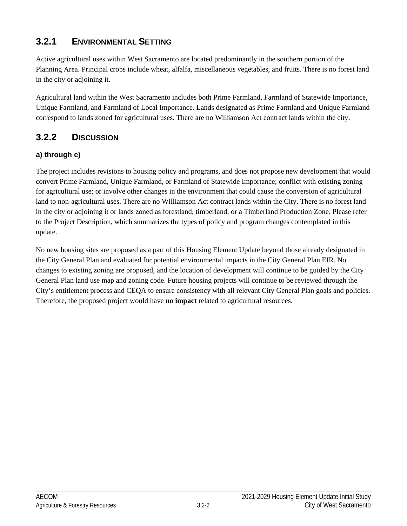### **3.2.1 ENVIRONMENTAL SETTING**

Active agricultural uses within West Sacramento are located predominantly in the southern portion of the Planning Area. Principal crops include wheat, alfalfa, miscellaneous vegetables, and fruits. There is no forest land in the city or adjoining it.

Agricultural land within the West Sacramento includes both Prime Farmland, Farmland of Statewide Importance, Unique Farmland, and Farmland of Local Importance. Lands designated as Prime Farmland and Unique Farmland correspond to lands zoned for agricultural uses. There are no Williamson Act contract lands within the city.

### **3.2.2 DISCUSSION**

#### **a) through e)**

The project includes revisions to housing policy and programs, and does not propose new development that would convert Prime Farmland, Unique Farmland, or Farmland of Statewide Importance; conflict with existing zoning for agricultural use; or involve other changes in the environment that could cause the conversion of agricultural land to non-agricultural uses. There are no Williamson Act contract lands within the City. There is no forest land in the city or adjoining it or lands zoned as forestland, timberland, or a Timberland Production Zone. Please refer to the Project Description, which summarizes the types of policy and program changes contemplated in this update.

No new housing sites are proposed as a part of this Housing Element Update beyond those already designated in the City General Plan and evaluated for potential environmental impacts in the City General Plan EIR. No changes to existing zoning are proposed, and the location of development will continue to be guided by the City General Plan land use map and zoning code. Future housing projects will continue to be reviewed through the City's entitlement process and CEQA to ensure consistency with all relevant City General Plan goals and policies. Therefore, the proposed project would have **no impact** related to agricultural resources.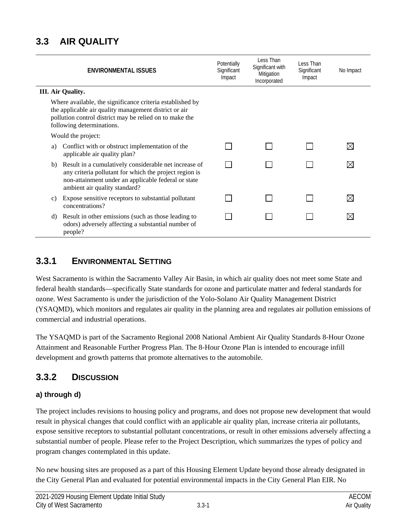### **3.3 AIR QUALITY**

|    | <b>ENVIRONMENTAL ISSUES</b>                                                                                                                                                                                | Potentially<br>Significant<br>Impact | Less Than<br>Significant with<br>Mitigation<br>Incorporated | Less Than<br>Significant<br>Impact | No Impact   |
|----|------------------------------------------------------------------------------------------------------------------------------------------------------------------------------------------------------------|--------------------------------------|-------------------------------------------------------------|------------------------------------|-------------|
|    | <b>III.</b> Air Quality.                                                                                                                                                                                   |                                      |                                                             |                                    |             |
|    | Where available, the significance criteria established by<br>the applicable air quality management district or air<br>pollution control district may be relied on to make the<br>following determinations. |                                      |                                                             |                                    |             |
|    | Would the project:                                                                                                                                                                                         |                                      |                                                             |                                    |             |
| a) | Conflict with or obstruct implementation of the<br>applicable air quality plan?                                                                                                                            |                                      |                                                             |                                    | $\boxtimes$ |
| b) | Result in a cumulatively considerable net increase of<br>any criteria pollutant for which the project region is<br>non-attainment under an applicable federal or state<br>ambient air quality standard?    |                                      |                                                             |                                    | $\boxtimes$ |
| c) | Expose sensitive receptors to substantial pollutant<br>concentrations?                                                                                                                                     |                                      |                                                             |                                    | $\times$    |
| d) | Result in other emissions (such as those leading to<br>odors) adversely affecting a substantial number of<br>people?                                                                                       |                                      |                                                             |                                    | $\boxtimes$ |

#### **3.3.1 ENVIRONMENTAL SETTING**

West Sacramento is within the Sacramento Valley Air Basin, in which air quality does not meet some State and federal health standards—specifically State standards for ozone and particulate matter and federal standards for ozone. West Sacramento is under the jurisdiction of the Yolo-Solano Air Quality Management District (YSAQMD), which monitors and regulates air quality in the planning area and regulates air pollution emissions of commercial and industrial operations.

The YSAQMD is part of the Sacramento Regional 2008 National Ambient Air Quality Standards 8-Hour Ozone Attainment and Reasonable Further Progress Plan. The 8-Hour Ozone Plan is intended to encourage infill development and growth patterns that promote alternatives to the automobile.

#### **3.3.2 DISCUSSION**

#### **a) through d)**

The project includes revisions to housing policy and programs, and does not propose new development that would result in physical changes that could conflict with an applicable air quality plan, increase criteria air pollutants, expose sensitive receptors to substantial pollutant concentrations, or result in other emissions adversely affecting a substantial number of people. Please refer to the Project Description, which summarizes the types of policy and program changes contemplated in this update.

No new housing sites are proposed as a part of this Housing Element Update beyond those already designated in the City General Plan and evaluated for potential environmental impacts in the City General Plan EIR. No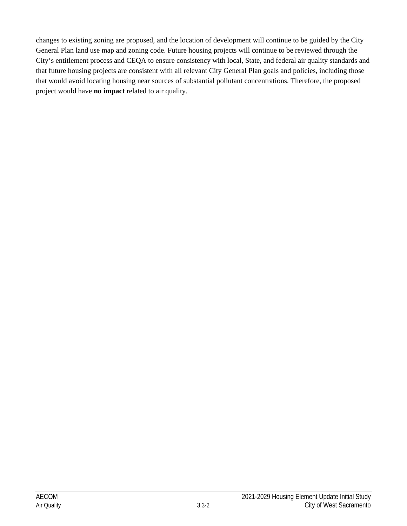changes to existing zoning are proposed, and the location of development will continue to be guided by the City General Plan land use map and zoning code. Future housing projects will continue to be reviewed through the City's entitlement process and CEQA to ensure consistency with local, State, and federal air quality standards and that future housing projects are consistent with all relevant City General Plan goals and policies, including those that would avoid locating housing near sources of substantial pollutant concentrations. Therefore, the proposed project would have **no impact** related to air quality.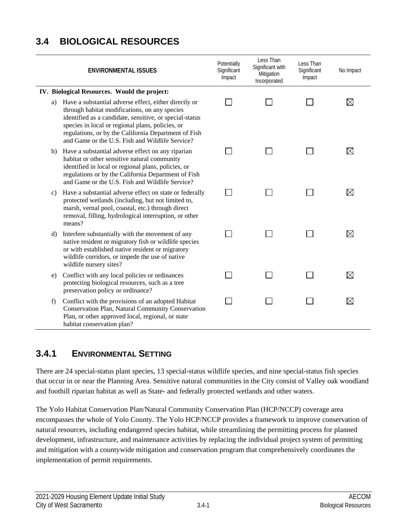### **3.4 BIOLOGICAL RESOURCES**

|    | <b>ENVIRONMENTAL ISSUES</b>                                                                                                                                                                                                                                                                                                      | Potentially<br>Significant<br>Impact | Less Than<br>Significant with<br>Mitigation<br>Incorporated | Less Than<br>Significant<br>Impact | No Impact   |
|----|----------------------------------------------------------------------------------------------------------------------------------------------------------------------------------------------------------------------------------------------------------------------------------------------------------------------------------|--------------------------------------|-------------------------------------------------------------|------------------------------------|-------------|
|    | IV. Biological Resources. Would the project:                                                                                                                                                                                                                                                                                     |                                      |                                                             |                                    |             |
| a) | Have a substantial adverse effect, either directly or<br>through habitat modifications, on any species<br>identified as a candidate, sensitive, or special-status<br>species in local or regional plans, policies, or<br>regulations, or by the California Department of Fish<br>and Game or the U.S. Fish and Wildlife Service? |                                      |                                                             |                                    | $\boxtimes$ |
| b) | Have a substantial adverse effect on any riparian<br>habitat or other sensitive natural community<br>identified in local or regional plans, policies, or<br>regulations or by the California Department of Fish<br>and Game or the U.S. Fish and Wildlife Service?                                                               |                                      |                                                             |                                    | $\boxtimes$ |
| c) | Have a substantial adverse effect on state or federally<br>protected wetlands (including, but not limited to,<br>marsh, vernal pool, coastal, etc.) through direct<br>removal, filling, hydrological interruption, or other<br>means?                                                                                            |                                      |                                                             |                                    | $\boxtimes$ |
| d) | Interfere substantially with the movement of any<br>native resident or migratory fish or wildlife species<br>or with established native resident or migratory<br>wildlife corridors, or impede the use of native<br>wildlife nursery sites?                                                                                      |                                      |                                                             |                                    | $\boxtimes$ |
| e) | Conflict with any local policies or ordinances<br>protecting biological resources, such as a tree<br>preservation policy or ordinance?                                                                                                                                                                                           |                                      |                                                             |                                    | $\boxtimes$ |
| f) | Conflict with the provisions of an adopted Habitat<br>Conservation Plan, Natural Community Conservation<br>Plan, or other approved local, regional, or state<br>habitat conservation plan?                                                                                                                                       |                                      |                                                             |                                    | $\boxtimes$ |

#### **3.4.1 ENVIRONMENTAL SETTING**

There are 24 special-status plant species, 13 special-status wildlife species, and nine special-status fish species that occur in or near the Planning Area. Sensitive natural communities in the City consist of Valley oak woodland and foothill riparian habitat as well as State- and federally protected wetlands and other waters.

The Yolo Habitat Conservation Plan/Natural Community Conservation Plan (HCP/NCCP) coverage area encompasses the whole of Yolo County. The Yolo HCP/NCCP provides a framework to improve conservation of natural resources, including endangered species habitat, while streamlining the permitting process for planned development, infrastructure, and maintenance activities by replacing the individual project system of permitting and mitigation with a countywide mitigation and conservation program that comprehensively coordinates the implementation of permit requirements.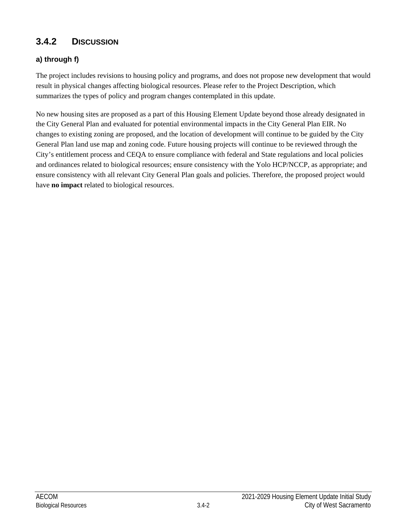### **3.4.2 DISCUSSION**

#### **a) through f)**

The project includes revisions to housing policy and programs, and does not propose new development that would result in physical changes affecting biological resources. Please refer to the Project Description, which summarizes the types of policy and program changes contemplated in this update.

No new housing sites are proposed as a part of this Housing Element Update beyond those already designated in the City General Plan and evaluated for potential environmental impacts in the City General Plan EIR. No changes to existing zoning are proposed, and the location of development will continue to be guided by the City General Plan land use map and zoning code. Future housing projects will continue to be reviewed through the City's entitlement process and CEQA to ensure compliance with federal and State regulations and local policies and ordinances related to biological resources; ensure consistency with the Yolo HCP/NCCP, as appropriate; and ensure consistency with all relevant City General Plan goals and policies. Therefore, the proposed project would have **no impact** related to biological resources.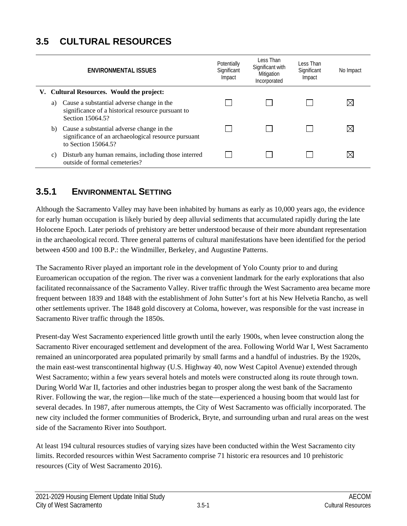### **3.5 CULTURAL RESOURCES**

|                                           | <b>ENVIRONMENTAL ISSUES</b>                                                                                             | Potentially<br>Significant<br>Impact | I ess Than<br>Significant with<br>Mitigation<br>Incorporated | Less Than<br>Significant<br>Impact | No Impact   |
|-------------------------------------------|-------------------------------------------------------------------------------------------------------------------------|--------------------------------------|--------------------------------------------------------------|------------------------------------|-------------|
| V. Cultural Resources. Would the project: |                                                                                                                         |                                      |                                                              |                                    |             |
| a)                                        | Cause a substantial adverse change in the<br>significance of a historical resource pursuant to<br>Section 15064.5?      |                                      |                                                              |                                    | $\boxtimes$ |
| b)                                        | Cause a substantial adverse change in the<br>significance of an archaeological resource pursuant<br>to Section 15064.5? |                                      |                                                              |                                    | ⊠           |
| C)                                        | Disturb any human remains, including those interred<br>outside of formal cemeteries?                                    |                                      |                                                              |                                    | $\boxtimes$ |

#### **3.5.1 ENVIRONMENTAL SETTING**

Although the Sacramento Valley may have been inhabited by humans as early as 10,000 years ago, the evidence for early human occupation is likely buried by deep alluvial sediments that accumulated rapidly during the late Holocene Epoch. Later periods of prehistory are better understood because of their more abundant representation in the archaeological record. Three general patterns of cultural manifestations have been identified for the period between 4500 and 100 B.P.: the Windmiller, Berkeley, and Augustine Patterns.

The Sacramento River played an important role in the development of Yolo County prior to and during Euroamerican occupation of the region. The river was a convenient landmark for the early explorations that also facilitated reconnaissance of the Sacramento Valley. River traffic through the West Sacramento area became more frequent between 1839 and 1848 with the establishment of John Sutter's fort at his New Helvetia Rancho, as well other settlements upriver. The 1848 gold discovery at Coloma, however, was responsible for the vast increase in Sacramento River traffic through the 1850s.

Present-day West Sacramento experienced little growth until the early 1900s, when levee construction along the Sacramento River encouraged settlement and development of the area. Following World War I, West Sacramento remained an unincorporated area populated primarily by small farms and a handful of industries. By the 1920s, the main east-west transcontinental highway (U.S. Highway 40, now West Capitol Avenue) extended through West Sacramento; within a few years several hotels and motels were constructed along its route through town. During World War II, factories and other industries began to prosper along the west bank of the Sacramento River. Following the war, the region—like much of the state—experienced a housing boom that would last for several decades. In 1987, after numerous attempts, the City of West Sacramento was officially incorporated. The new city included the former communities of Broderick, Bryte, and surrounding urban and rural areas on the west side of the Sacramento River into Southport.

At least 194 cultural resources studies of varying sizes have been conducted within the West Sacramento city limits. Recorded resources within West Sacramento comprise 71 historic era resources and 10 prehistoric resources (City of West Sacramento 2016).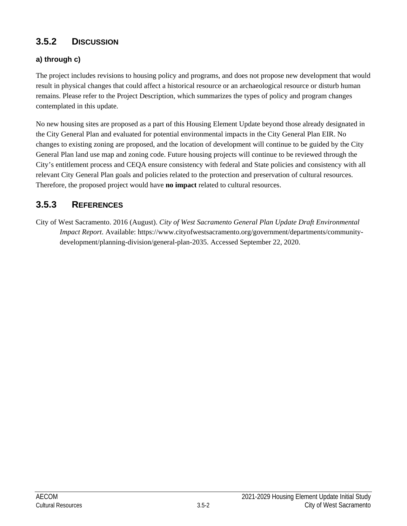### **3.5.2 DISCUSSION**

#### **a) through c)**

The project includes revisions to housing policy and programs, and does not propose new development that would result in physical changes that could affect a historical resource or an archaeological resource or disturb human remains. Please refer to the Project Description, which summarizes the types of policy and program changes contemplated in this update.

No new housing sites are proposed as a part of this Housing Element Update beyond those already designated in the City General Plan and evaluated for potential environmental impacts in the City General Plan EIR. No changes to existing zoning are proposed, and the location of development will continue to be guided by the City General Plan land use map and zoning code. Future housing projects will continue to be reviewed through the City's entitlement process and CEQA ensure consistency with federal and State policies and consistency with all relevant City General Plan goals and policies related to the protection and preservation of cultural resources. Therefore, the proposed project would have **no impact** related to cultural resources.

#### **3.5.3 REFERENCES**

City of West Sacramento. 2016 (August). *City of West Sacramento General Plan Update Draft Environmental Impact Report*. Available: [https://www.cityofwestsacramento.org/government/departments/community](https://www.cityofwestsacramento.org/government/departments/community-development/planning-division/general-plan-2035)[development/planning-division/general-plan-2035.](https://www.cityofwestsacramento.org/government/departments/community-development/planning-division/general-plan-2035) Accessed September 22, 2020.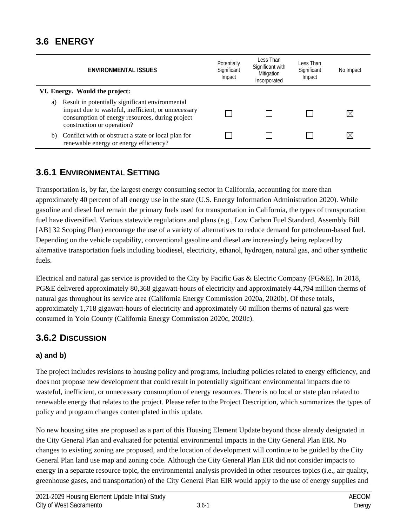|    | <b>ENVIRONMENTAL ISSUES</b>                                                                                                                                                             | Potentially<br>Significant<br>Impact | Less Than<br>Significant with<br>Mitigation<br>Incorporated | Less Than<br>Significant<br>Impact | No Impact   |
|----|-----------------------------------------------------------------------------------------------------------------------------------------------------------------------------------------|--------------------------------------|-------------------------------------------------------------|------------------------------------|-------------|
|    | VI. Energy. Would the project:                                                                                                                                                          |                                      |                                                             |                                    |             |
| a) | Result in potentially significant environmental<br>impact due to wasteful, inefficient, or unnecessary<br>consumption of energy resources, during project<br>construction or operation? |                                      |                                                             |                                    | $\boxtimes$ |
| b) | Conflict with or obstruct a state or local plan for<br>renewable energy or energy efficiency?                                                                                           |                                      |                                                             |                                    | $\boxtimes$ |

#### **3.6.1 ENVIRONMENTAL SETTING**

Transportation is, by far, the largest energy consuming sector in California, accounting for more than approximately 40 percent of all energy use in the state (U.S. Energy Information Administration 2020). While gasoline and diesel fuel remain the primary fuels used for transportation in California, the types of transportation fuel have diversified. Various statewide regulations and plans (e.g., Low Carbon Fuel Standard, Assembly Bill [AB] 32 Scoping Plan) encourage the use of a variety of alternatives to reduce demand for petroleum-based fuel. Depending on the vehicle capability, conventional gasoline and diesel are increasingly being replaced by alternative transportation fuels including biodiesel, electricity, ethanol, hydrogen, natural gas, and other synthetic fuels.

Electrical and natural gas service is provided to the City by Pacific Gas & Electric Company (PG&E). In 2018, PG&E delivered approximately 80,368 gigawatt-hours of electricity and approximately 44,794 million therms of natural gas throughout its service area (California Energy Commission 2020a, 2020b). Of these totals, approximately 1,718 gigawatt-hours of electricity and approximately 60 million therms of natural gas were consumed in Yolo County (California Energy Commission 2020c, 2020c).

#### **3.6.2 DISCUSSION**

#### **a) and b)**

The project includes revisions to housing policy and programs, including policies related to energy efficiency, and does not propose new development that could result in potentially significant environmental impacts due to wasteful, inefficient, or unnecessary consumption of energy resources. There is no local or state plan related to renewable energy that relates to the project. Please refer to the Project Description, which summarizes the types of policy and program changes contemplated in this update.

No new housing sites are proposed as a part of this Housing Element Update beyond those already designated in the City General Plan and evaluated for potential environmental impacts in the City General Plan EIR. No changes to existing zoning are proposed, and the location of development will continue to be guided by the City General Plan land use map and zoning code. Although the City General Plan EIR did not consider impacts to energy in a separate resource topic, the environmental analysis provided in other resources topics (i.e., air quality, greenhouse gases, and transportation) of the City General Plan EIR would apply to the use of energy supplies and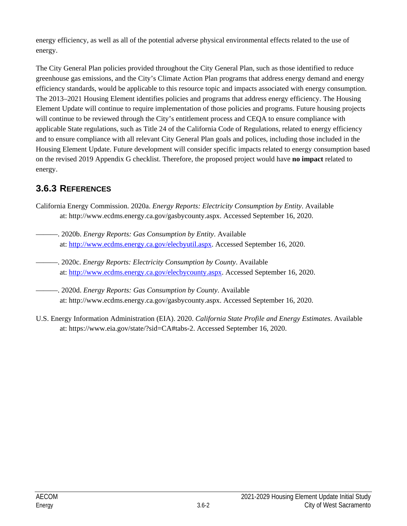energy efficiency, as well as all of the potential adverse physical environmental effects related to the use of energy.

The City General Plan policies provided throughout the City General Plan, such as those identified to reduce greenhouse gas emissions, and the City's Climate Action Plan programs that address energy demand and energy efficiency standards, would be applicable to this resource topic and impacts associated with energy consumption. The 2013–2021 Housing Element identifies policies and programs that address energy efficiency. The Housing Element Update will continue to require implementation of those policies and programs. Future housing projects will continue to be reviewed through the City's entitlement process and CEQA to ensure compliance with applicable State regulations, such as Title 24 of the California Code of Regulations, related to energy efficiency and to ensure compliance with all relevant City General Plan goals and polices, including those included in the Housing Element Update. Future development will consider specific impacts related to energy consumption based on the revised 2019 Appendix G checklist. Therefore, the proposed project would have **no impact** related to energy.

### **3.6.3 REFERENCES**

- California Energy Commission. 2020a. *Energy Reports: Electricity Consumption by Entity*. Available at: [http://www.ecdms.energy.ca.gov/gasbycounty.aspx.](http://www.ecdms.energy.ca.gov/gasbycounty.aspx) Accessed September 16, 2020.
	- ———. 2020b. *Energy Reports: Gas Consumption by Entity*. Available at: [http://www.ecdms.energy.ca.gov/elecbyutil.aspx.](http://www.ecdms.energy.ca.gov/elecbyutil.aspx) Accessed September 16, 2020.
	- ———. 2020c. *Energy Reports: Electricity Consumption by County*. Available at: [http://www.ecdms.energy.ca.gov/elecbycounty.aspx.](http://www.ecdms.energy.ca.gov/elecbycounty.aspx) Accessed September 16, 2020.
- ———. 2020d. *Energy Reports: Gas Consumption by County*. Available at: [http://www.ecdms.energy.ca.gov/gasbycounty.aspx.](http://www.ecdms.energy.ca.gov/gasbycounty.aspx) Accessed September 16, 2020.
- U.S. Energy Information Administration (EIA). 2020. *California State Profile and Energy Estimates*. Available at: [https://www.eia.gov/state/?sid=CA#tabs-2.](https://www.eia.gov/state/?sid=CA#tabs-2) Accessed September 16, 2020.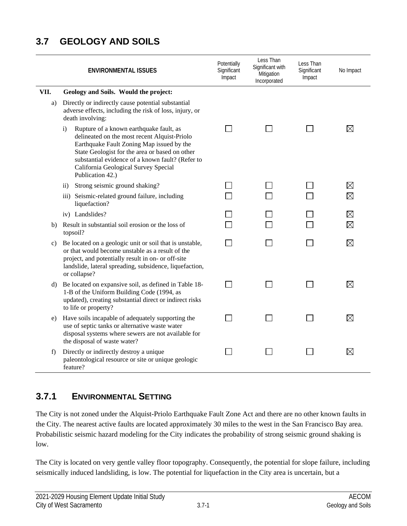### **3.7 GEOLOGY AND SOILS**

|      | <b>ENVIRONMENTAL ISSUES</b>                                                                                                                                                                                                                                                                                          | Potentially<br>Significant<br>Impact | Less Than<br>Significant with<br>Mitigation<br>Incorporated | Less Than<br>Significant<br>Impact | No Impact   |
|------|----------------------------------------------------------------------------------------------------------------------------------------------------------------------------------------------------------------------------------------------------------------------------------------------------------------------|--------------------------------------|-------------------------------------------------------------|------------------------------------|-------------|
| VII. | Geology and Soils. Would the project:                                                                                                                                                                                                                                                                                |                                      |                                                             |                                    |             |
| a)   | Directly or indirectly cause potential substantial<br>adverse effects, including the risk of loss, injury, or<br>death involving:                                                                                                                                                                                    |                                      |                                                             |                                    |             |
|      | Rupture of a known earthquake fault, as<br>$\ddot{1}$<br>delineated on the most recent Alquist-Priolo<br>Earthquake Fault Zoning Map issued by the<br>State Geologist for the area or based on other<br>substantial evidence of a known fault? (Refer to<br>California Geological Survey Special<br>Publication 42.) |                                      |                                                             |                                    | $\boxtimes$ |
|      | Strong seismic ground shaking?<br>$\rm ii)$                                                                                                                                                                                                                                                                          |                                      |                                                             |                                    | $\boxtimes$ |
|      | iii) Seismic-related ground failure, including<br>liquefaction?                                                                                                                                                                                                                                                      |                                      |                                                             |                                    | $\boxtimes$ |
|      | iv) Landslides?                                                                                                                                                                                                                                                                                                      |                                      |                                                             |                                    | $\boxtimes$ |
| b)   | Result in substantial soil erosion or the loss of<br>topsoil?                                                                                                                                                                                                                                                        |                                      |                                                             |                                    | $\boxtimes$ |
| c)   | Be located on a geologic unit or soil that is unstable,<br>or that would become unstable as a result of the<br>project, and potentially result in on- or off-site<br>landslide, lateral spreading, subsidence, liquefaction,<br>or collapse?                                                                         |                                      |                                                             |                                    | $\boxtimes$ |
| d)   | Be located on expansive soil, as defined in Table 18-<br>1-B of the Uniform Building Code (1994, as<br>updated), creating substantial direct or indirect risks<br>to life or property?                                                                                                                               | $\sim$                               |                                                             |                                    | $\boxtimes$ |
| e)   | Have soils incapable of adequately supporting the<br>use of septic tanks or alternative waste water<br>disposal systems where sewers are not available for<br>the disposal of waste water?                                                                                                                           |                                      |                                                             |                                    | $\boxtimes$ |
| f)   | Directly or indirectly destroy a unique<br>paleontological resource or site or unique geologic<br>feature?                                                                                                                                                                                                           |                                      |                                                             |                                    | $\boxtimes$ |

#### **3.7.1 ENVIRONMENTAL SETTING**

The City is not zoned under the Alquist-Priolo Earthquake Fault Zone Act and there are no other known faults in the City. The nearest active faults are located approximately 30 miles to the west in the San Francisco Bay area. Probabilistic seismic hazard modeling for the City indicates the probability of strong seismic ground shaking is low.

The City is located on very gentle valley floor topography. Consequently, the potential for slope failure, including seismically induced landsliding, is low. The potential for liquefaction in the City area is uncertain, but a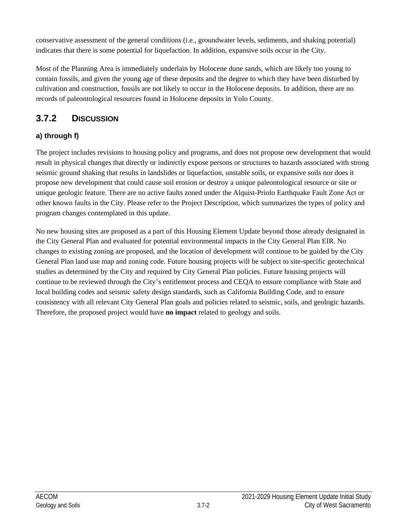conservative assessment of the general conditions (i.e., groundwater levels, sediments, and shaking potential) indicates that there is some potential for liquefaction. In addition, expansive soils occur in the City.

Most of the Planning Area is immediately underlain by Holocene dune sands, which are likely too young to contain fossils, and given the young age of these deposits and the degree to which they have been disturbed by cultivation and construction, fossils are not likely to occur in the Holocene deposits. In addition, there are no records of paleontological resources found in Holocene deposits in Yolo County.

### **3.7.2 DISCUSSION**

#### **a) through f)**

The project includes revisions to housing policy and programs, and does not propose new development that would result in physical changes that directly or indirectly expose persons or structures to hazards associated with strong seismic ground shaking that results in landslides or liquefaction, unstable soils, or expansive soils nor does it propose new development that could cause soil erosion or destroy a unique paleontological resource or site or unique geologic feature. There are no active faults zoned under the Alquist-Priolo Earthquake Fault Zone Act or other known faults in the City. Please refer to the Project Description, which summarizes the types of policy and program changes contemplated in this update.

No new housing sites are proposed as a part of this Housing Element Update beyond those already designated in the City General Plan and evaluated for potential environmental impacts in the City General Plan EIR. No changes to existing zoning are proposed, and the location of development will continue to be guided by the City General Plan land use map and zoning code. Future housing projects will be subject to site-specific geotechnical studies as determined by the City and required by City General Plan policies. Future housing projects will continue to be reviewed through the City's entitlement process and CEQA to ensure compliance with State and local building codes and seismic safety design standards, such as California Building Code, and to ensure consistency with all relevant City General Plan goals and policies related to seismic, soils, and geologic hazards. Therefore, the proposed project would have **no impact** related to geology and soils.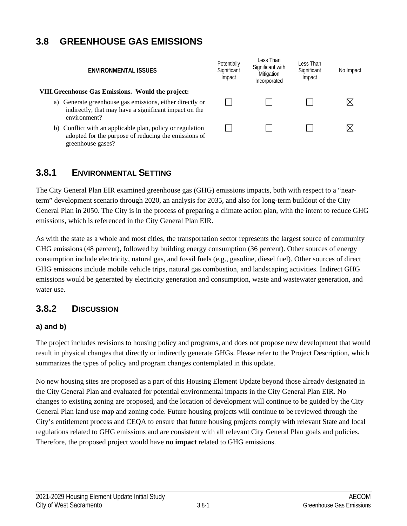### **3.8 GREENHOUSE GAS EMISSIONS**

| <b>ENVIRONMENTAL ISSUES</b>                                                                                                            | Potentially<br>Significant<br>Impact | Less Than<br>Significant with<br>Mitigation<br>Incorporated | Less Than<br>Significant<br>Impact | No Impact   |
|----------------------------------------------------------------------------------------------------------------------------------------|--------------------------------------|-------------------------------------------------------------|------------------------------------|-------------|
| VIII. Greenhouse Gas Emissions. Would the project:                                                                                     |                                      |                                                             |                                    |             |
| a) Generate greenhouse gas emissions, either directly or<br>indirectly, that may have a significant impact on the<br>environment?      |                                      |                                                             |                                    | $\boxtimes$ |
| b) Conflict with an applicable plan, policy or regulation<br>adopted for the purpose of reducing the emissions of<br>greenhouse gases? |                                      |                                                             |                                    | $\bowtie$   |

#### **3.8.1 ENVIRONMENTAL SETTING**

The City General Plan EIR examined greenhouse gas (GHG) emissions impacts, both with respect to a "nearterm" development scenario through 2020, an analysis for 2035, and also for long-term buildout of the City General Plan in 2050. The City is in the process of preparing a climate action plan, with the intent to reduce GHG emissions, which is referenced in the City General Plan EIR.

As with the state as a whole and most cities, the transportation sector represents the largest source of community GHG emissions (48 percent), followed by building energy consumption (36 percent). Other sources of energy consumption include electricity, natural gas, and fossil fuels (e.g., gasoline, diesel fuel). Other sources of direct GHG emissions include mobile vehicle trips, natural gas combustion, and landscaping activities. Indirect GHG emissions would be generated by electricity generation and consumption, waste and wastewater generation, and water use.

#### **3.8.2 DISCUSSION**

#### **a) and b)**

The project includes revisions to housing policy and programs, and does not propose new development that would result in physical changes that directly or indirectly generate GHGs. Please refer to the Project Description, which summarizes the types of policy and program changes contemplated in this update.

No new housing sites are proposed as a part of this Housing Element Update beyond those already designated in the City General Plan and evaluated for potential environmental impacts in the City General Plan EIR. No changes to existing zoning are proposed, and the location of development will continue to be guided by the City General Plan land use map and zoning code. Future housing projects will continue to be reviewed through the City's entitlement process and CEQA to ensure that future housing projects comply with relevant State and local regulations related to GHG emissions and are consistent with all relevant City General Plan goals and policies. Therefore, the proposed project would have **no impact** related to GHG emissions.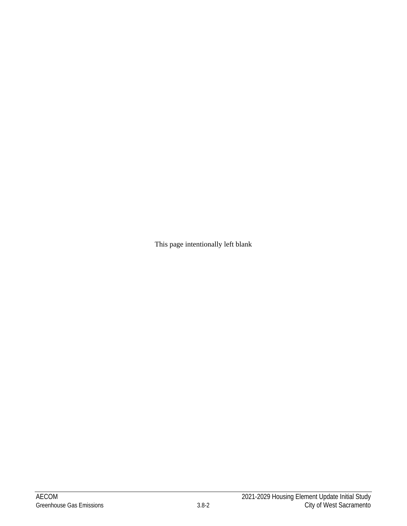This page intentionally left blank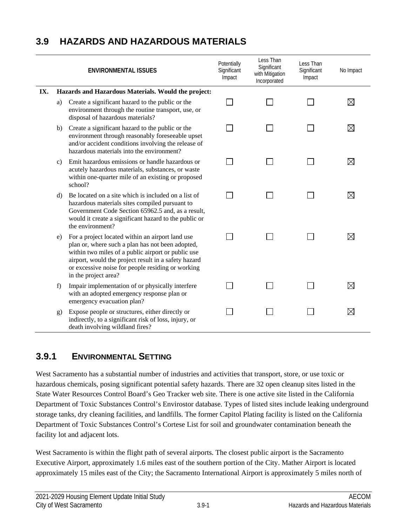### **3.9 HAZARDS AND HAZARDOUS MATERIALS**

|     |    | <b>ENVIRONMENTAL ISSUES</b>                                                                                                                                                                                                                                                                     | Potentially<br>Significant<br>Impact | Less Than<br>Significant<br>with Mitigation<br>Incorporated | Less Than<br>Significant<br>Impact | No Impact   |
|-----|----|-------------------------------------------------------------------------------------------------------------------------------------------------------------------------------------------------------------------------------------------------------------------------------------------------|--------------------------------------|-------------------------------------------------------------|------------------------------------|-------------|
| IX. |    | Hazards and Hazardous Materials. Would the project:                                                                                                                                                                                                                                             |                                      |                                                             |                                    |             |
|     | a) | Create a significant hazard to the public or the<br>environment through the routine transport, use, or<br>disposal of hazardous materials?                                                                                                                                                      |                                      |                                                             |                                    | $\boxtimes$ |
|     | b) | Create a significant hazard to the public or the<br>environment through reasonably foreseeable upset<br>and/or accident conditions involving the release of<br>hazardous materials into the environment?                                                                                        |                                      |                                                             |                                    | $\boxtimes$ |
|     | c) | Emit hazardous emissions or handle hazardous or<br>acutely hazardous materials, substances, or waste<br>within one-quarter mile of an existing or proposed<br>school?                                                                                                                           |                                      |                                                             |                                    | $\boxtimes$ |
|     | d) | Be located on a site which is included on a list of<br>hazardous materials sites compiled pursuant to<br>Government Code Section 65962.5 and, as a result,<br>would it create a significant hazard to the public or<br>the environment?                                                         |                                      |                                                             |                                    | $\boxtimes$ |
|     | e) | For a project located within an airport land use<br>plan or, where such a plan has not been adopted,<br>within two miles of a public airport or public use<br>airport, would the project result in a safety hazard<br>or excessive noise for people residing or working<br>in the project area? |                                      |                                                             |                                    | $\boxtimes$ |
|     | f) | Impair implementation of or physically interfere<br>with an adopted emergency response plan or<br>emergency evacuation plan?                                                                                                                                                                    |                                      |                                                             |                                    | $\boxtimes$ |
|     | g) | Expose people or structures, either directly or<br>indirectly, to a significant risk of loss, injury, or<br>death involving wildland fires?                                                                                                                                                     |                                      |                                                             |                                    | $\boxtimes$ |

#### **3.9.1 ENVIRONMENTAL SETTING**

West Sacramento has a substantial number of industries and activities that transport, store, or use toxic or hazardous chemicals, posing significant potential safety hazards. There are 32 open cleanup sites listed in the State Water Resources Control Board's Geo Tracker web site. There is one active site listed in the California Department of Toxic Substances Control's Envirostor database. Types of listed sites include leaking underground storage tanks, dry cleaning facilities, and landfills. The former Capitol Plating facility is listed on the California Department of Toxic Substances Control's Cortese List for soil and groundwater contamination beneath the facility lot and adjacent lots.

West Sacramento is within the flight path of several airports. The closest public airport is the Sacramento Executive Airport, approximately 1.6 miles east of the southern portion of the City. Mather Airport is located approximately 15 miles east of the City; the Sacramento International Airport is approximately 5 miles north of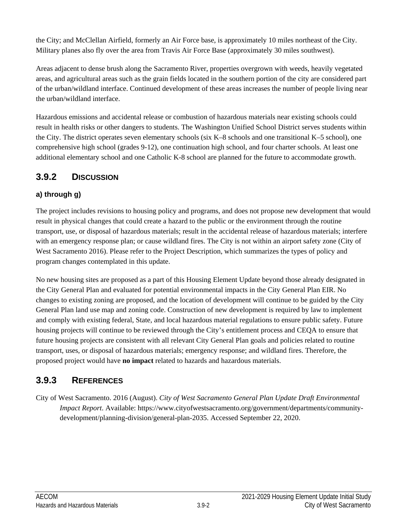the City; and McClellan Airfield, formerly an Air Force base, is approximately 10 miles northeast of the City. Military planes also fly over the area from Travis Air Force Base (approximately 30 miles southwest).

Areas adjacent to dense brush along the Sacramento River, properties overgrown with weeds, heavily vegetated areas, and agricultural areas such as the grain fields located in the southern portion of the city are considered part of the urban/wildland interface. Continued development of these areas increases the number of people living near the urban/wildland interface.

Hazardous emissions and accidental release or combustion of hazardous materials near existing schools could result in health risks or other dangers to students. The Washington Unified School District serves students within the City. The district operates seven elementary schools (six K–8 schools and one transitional K–5 school), one comprehensive high school (grades 9-12), one continuation high school, and four charter schools. At least one additional elementary school and one Catholic K-8 school are planned for the future to accommodate growth.

### **3.9.2 DISCUSSION**

#### **a) through g)**

The project includes revisions to housing policy and programs, and does not propose new development that would result in physical changes that could create a hazard to the public or the environment through the routine transport, use, or disposal of hazardous materials; result in the accidental release of hazardous materials; interfere with an emergency response plan; or cause wildland fires. The City is not within an airport safety zone (City of West Sacramento 2016). Please refer to the Project Description, which summarizes the types of policy and program changes contemplated in this update.

No new housing sites are proposed as a part of this Housing Element Update beyond those already designated in the City General Plan and evaluated for potential environmental impacts in the City General Plan EIR. No changes to existing zoning are proposed, and the location of development will continue to be guided by the City General Plan land use map and zoning code. Construction of new development is required by law to implement and comply with existing federal, State, and local hazardous material regulations to ensure public safety. Future housing projects will continue to be reviewed through the City's entitlement process and CEQA to ensure that future housing projects are consistent with all relevant City General Plan goals and policies related to routine transport, uses, or disposal of hazardous materials; emergency response; and wildland fires. Therefore, the proposed project would have **no impact** related to hazards and hazardous materials.

### **3.9.3 REFERENCES**

City of West Sacramento. 2016 (August). *City of West Sacramento General Plan Update Draft Environmental Impact Report*. Available: [https://www.cityofwestsacramento.org/government/departments/community](https://www.cityofwestsacramento.org/government/departments/community-development/planning-division/general-plan-2035)[development/planning-division/general-plan-2035.](https://www.cityofwestsacramento.org/government/departments/community-development/planning-division/general-plan-2035) Accessed September 22, 2020.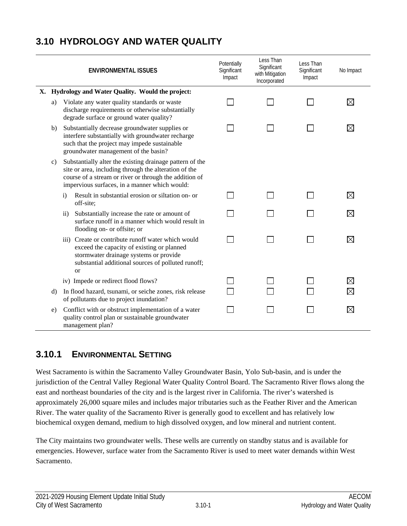### **3.10 HYDROLOGY AND WATER QUALITY**

|    | <b>ENVIRONMENTAL ISSUES</b>                                                                                                                                                                                                        | Potentially<br>Significant<br>Impact | Less Than<br>Significant<br>with Mitigation<br>Incorporated | Less Than<br>Significant<br>Impact | No Impact   |
|----|------------------------------------------------------------------------------------------------------------------------------------------------------------------------------------------------------------------------------------|--------------------------------------|-------------------------------------------------------------|------------------------------------|-------------|
|    | X. Hydrology and Water Quality. Would the project:                                                                                                                                                                                 |                                      |                                                             |                                    |             |
| a) | Violate any water quality standards or waste<br>discharge requirements or otherwise substantially<br>degrade surface or ground water quality?                                                                                      | n l                                  |                                                             |                                    | $\boxtimes$ |
| b) | Substantially decrease groundwater supplies or<br>interfere substantially with groundwater recharge<br>such that the project may impede sustainable<br>groundwater management of the basin?                                        |                                      |                                                             |                                    | $\boxtimes$ |
| c) | Substantially alter the existing drainage pattern of the<br>site or area, including through the alteration of the<br>course of a stream or river or through the addition of<br>impervious surfaces, in a manner which would:       |                                      |                                                             |                                    |             |
|    | Result in substantial erosion or siltation on- or<br>$\mathbf{i}$<br>off-site;                                                                                                                                                     |                                      |                                                             |                                    | $\boxtimes$ |
|    | Substantially increase the rate or amount of<br>$\rm ii)$<br>surface runoff in a manner which would result in<br>flooding on- or offsite; or                                                                                       |                                      |                                                             |                                    | $\times$    |
|    | Create or contribute runoff water which would<br>$\overline{111}$ )<br>exceed the capacity of existing or planned<br>stormwater drainage systems or provide<br>substantial additional sources of polluted runoff;<br><sub>or</sub> |                                      |                                                             |                                    | $\times$    |
|    | iv) Impede or redirect flood flows?                                                                                                                                                                                                |                                      |                                                             |                                    | $\times$    |
| d) | In flood hazard, tsunami, or seiche zones, risk release<br>of pollutants due to project inundation?                                                                                                                                |                                      |                                                             |                                    | $\times$    |
| e) | Conflict with or obstruct implementation of a water<br>quality control plan or sustainable groundwater<br>management plan?                                                                                                         |                                      |                                                             |                                    | $\boxtimes$ |

#### **3.10.1 ENVIRONMENTAL SETTING**

West Sacramento is within the Sacramento Valley Groundwater Basin, Yolo Sub-basin, and is under the jurisdiction of the Central Valley Regional Water Quality Control Board. The Sacramento River flows along the east and northeast boundaries of the city and is the largest river in California. The river's watershed is approximately 26,000 square miles and includes major tributaries such as the Feather River and the American River. The water quality of the Sacramento River is generally good to excellent and has relatively low biochemical oxygen demand, medium to high dissolved oxygen, and low mineral and nutrient content.

The City maintains two groundwater wells. These wells are currently on standby status and is available for emergencies. However, surface water from the Sacramento River is used to meet water demands within West Sacramento.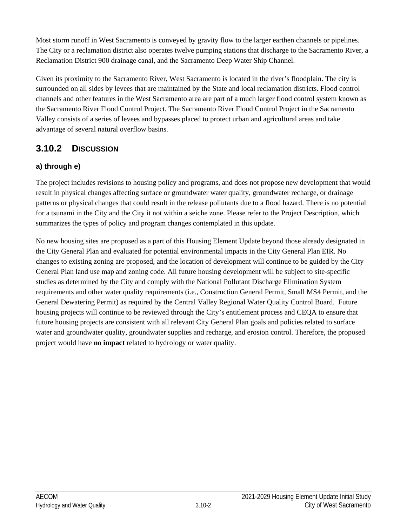Most storm runoff in West Sacramento is conveyed by gravity flow to the larger earthen channels or pipelines. The City or a reclamation district also operates twelve pumping stations that discharge to the Sacramento River, a Reclamation District 900 drainage canal, and the Sacramento Deep Water Ship Channel.

Given its proximity to the Sacramento River, West Sacramento is located in the river's floodplain. The city is surrounded on all sides by levees that are maintained by the State and local reclamation districts. Flood control channels and other features in the West Sacramento area are part of a much larger flood control system known as the Sacramento River Flood Control Project. The Sacramento River Flood Control Project in the Sacramento Valley consists of a series of levees and bypasses placed to protect urban and agricultural areas and take advantage of several natural overflow basins.

### **3.10.2 DISCUSSION**

#### **a) through e)**

The project includes revisions to housing policy and programs, and does not propose new development that would result in physical changes affecting surface or groundwater water quality, groundwater recharge, or drainage patterns or physical changes that could result in the release pollutants due to a flood hazard. There is no potential for a tsunami in the City and the City it not within a seiche zone. Please refer to the Project Description, which summarizes the types of policy and program changes contemplated in this update.

No new housing sites are proposed as a part of this Housing Element Update beyond those already designated in the City General Plan and evaluated for potential environmental impacts in the City General Plan EIR. No changes to existing zoning are proposed, and the location of development will continue to be guided by the City General Plan land use map and zoning code. All future housing development will be subject to site-specific studies as determined by the City and comply with the National Pollutant Discharge Elimination System requirements and other water quality requirements (i.e., Construction General Permit, Small MS4 Permit, and the General Dewatering Permit) as required by the Central Valley Regional Water Quality Control Board. Future housing projects will continue to be reviewed through the City's entitlement process and CEQA to ensure that future housing projects are consistent with all relevant City General Plan goals and policies related to surface water and groundwater quality, groundwater supplies and recharge, and erosion control. Therefore, the proposed project would have **no impact** related to hydrology or water quality.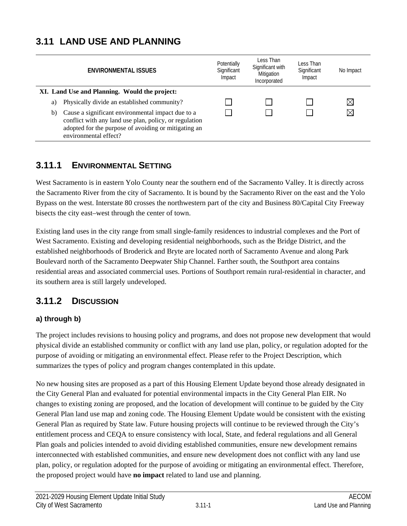### **3.11 LAND USE AND PLANNING**

|    | <b>ENVIRONMENTAL ISSUES</b>                                                                                                                                                                  | Potentially<br>Significant<br>Impact | Less Than<br>Significant with<br>Mitigation<br>Incorporated | Less Than<br>Significant<br>Impact | No Impact   |
|----|----------------------------------------------------------------------------------------------------------------------------------------------------------------------------------------------|--------------------------------------|-------------------------------------------------------------|------------------------------------|-------------|
|    | XI. Land Use and Planning. Would the project:                                                                                                                                                |                                      |                                                             |                                    |             |
| a) | Physically divide an established community?                                                                                                                                                  |                                      |                                                             |                                    | $\boxtimes$ |
| b) | Cause a significant environmental impact due to a<br>conflict with any land use plan, policy, or regulation<br>adopted for the purpose of avoiding or mitigating an<br>environmental effect? |                                      |                                                             |                                    | $\boxtimes$ |

#### **3.11.1 ENVIRONMENTAL SETTING**

West Sacramento is in eastern Yolo County near the southern end of the Sacramento Valley. It is directly across the Sacramento River from the city of Sacramento. It is bound by the Sacramento River on the east and the Yolo Bypass on the west. Interstate 80 crosses the northwestern part of the city and Business 80/Capital City Freeway bisects the city east–west through the center of town.

Existing land uses in the city range from small single-family residences to industrial complexes and the Port of West Sacramento. Existing and developing residential neighborhoods, such as the Bridge District, and the established neighborhoods of Broderick and Bryte are located north of Sacramento Avenue and along Park Boulevard north of the Sacramento Deepwater Ship Channel. Farther south, the Southport area contains residential areas and associated commercial uses. Portions of Southport remain rural-residential in character, and its southern area is still largely undeveloped.

#### **3.11.2 DISCUSSION**

#### **a) through b)**

The project includes revisions to housing policy and programs, and does not propose new development that would physical divide an established community or conflict with any land use plan, policy, or regulation adopted for the purpose of avoiding or mitigating an environmental effect. Please refer to the Project Description, which summarizes the types of policy and program changes contemplated in this update.

No new housing sites are proposed as a part of this Housing Element Update beyond those already designated in the City General Plan and evaluated for potential environmental impacts in the City General Plan EIR. No changes to existing zoning are proposed, and the location of development will continue to be guided by the City General Plan land use map and zoning code. The Housing Element Update would be consistent with the existing General Plan as required by State law. Future housing projects will continue to be reviewed through the City's entitlement process and CEQA to ensure consistency with local, State, and federal regulations and all General Plan goals and policies intended to avoid dividing established communities, ensure new development remains interconnected with established communities, and ensure new development does not conflict with any land use plan, policy, or regulation adopted for the purpose of avoiding or mitigating an environmental effect. Therefore, the proposed project would have **no impact** related to land use and planning.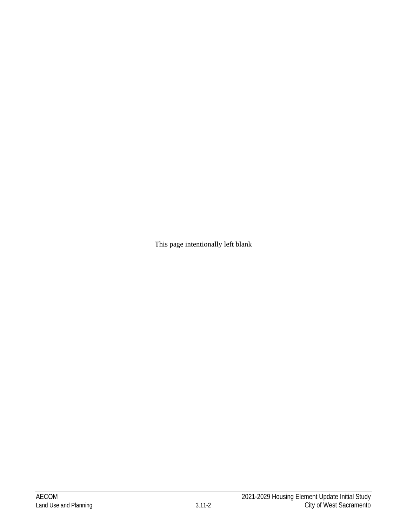This page intentionally left blank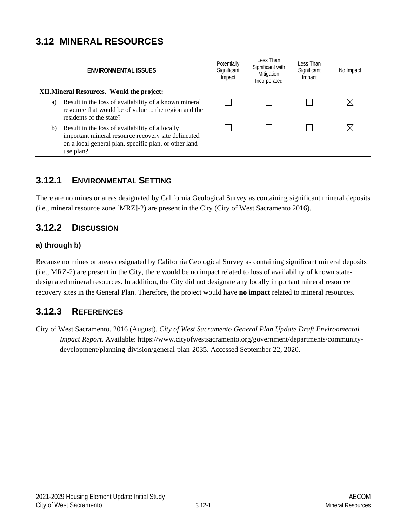### **3.12 MINERAL RESOURCES**

|    | <b>ENVIRONMENTAL ISSUES</b>                                                                                                                                                  | Potentially<br>Significant<br>Impact | Less Than<br>Significant with<br>Mitigation<br>Incorporated | Less Than<br>Significant<br>Impact | No Impact |
|----|------------------------------------------------------------------------------------------------------------------------------------------------------------------------------|--------------------------------------|-------------------------------------------------------------|------------------------------------|-----------|
|    | <b>XII. Mineral Resources. Would the project:</b>                                                                                                                            |                                      |                                                             |                                    |           |
| a) | Result in the loss of availability of a known mineral<br>resource that would be of value to the region and the<br>residents of the state?                                    |                                      |                                                             |                                    | $\bowtie$ |
| b) | Result in the loss of availability of a locally<br>important mineral resource recovery site delineated<br>on a local general plan, specific plan, or other land<br>use plan? |                                      |                                                             |                                    | M         |

#### **3.12.1 ENVIRONMENTAL SETTING**

There are no mines or areas designated by California Geological Survey as containing significant mineral deposits (i.e., mineral resource zone [MRZ]-2) are present in the City (City of West Sacramento 2016).

#### **3.12.2 DISCUSSION**

#### **a) through b)**

Because no mines or areas designated by California Geological Survey as containing significant mineral deposits (i.e., MRZ-2) are present in the City, there would be no impact related to loss of availability of known statedesignated mineral resources. In addition, the City did not designate any locally important mineral resource recovery sites in the General Plan. Therefore, the project would have **no impact** related to mineral resources.

#### **3.12.3 REFERENCES**

City of West Sacramento. 2016 (August). *City of West Sacramento General Plan Update Draft Environmental Impact Report*. Available: [https://www.cityofwestsacramento.org/government/departments/community](https://www.cityofwestsacramento.org/government/departments/community-development/planning-division/general-plan-2035)[development/planning-division/general-plan-2035.](https://www.cityofwestsacramento.org/government/departments/community-development/planning-division/general-plan-2035) Accessed September 22, 2020.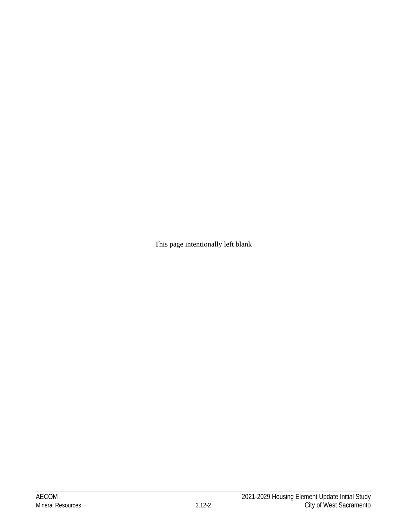This page intentionally left blank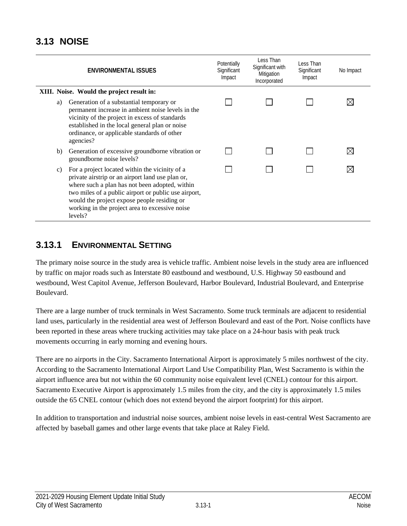|    | <b>ENVIRONMENTAL ISSUES</b>                                                                                                                                                                                                                                                                                              | Potentially<br>Significant<br>Impact | Less Than<br>Significant with<br>Mitigation<br>Incorporated | Less Than<br>Significant<br>Impact | No Impact   |
|----|--------------------------------------------------------------------------------------------------------------------------------------------------------------------------------------------------------------------------------------------------------------------------------------------------------------------------|--------------------------------------|-------------------------------------------------------------|------------------------------------|-------------|
|    | XIII. Noise. Would the project result in:                                                                                                                                                                                                                                                                                |                                      |                                                             |                                    |             |
| a) | Generation of a substantial temporary or<br>permanent increase in ambient noise levels in the<br>vicinity of the project in excess of standards<br>established in the local general plan or noise<br>ordinance, or applicable standards of other<br>agencies?                                                            |                                      |                                                             |                                    | $\bowtie$   |
| b) | Generation of excessive groundborne vibration or<br>groundborne noise levels?                                                                                                                                                                                                                                            |                                      |                                                             |                                    | $\boxtimes$ |
| c) | For a project located within the vicinity of a<br>private airstrip or an airport land use plan or,<br>where such a plan has not been adopted, within<br>two miles of a public airport or public use airport,<br>would the project expose people residing or<br>working in the project area to excessive noise<br>levels? |                                      |                                                             |                                    | $\times$    |

#### **3.13.1 ENVIRONMENTAL SETTING**

The primary noise source in the study area is vehicle traffic. Ambient noise levels in the study area are influenced by traffic on major roads such as Interstate 80 eastbound and westbound, U.S. Highway 50 eastbound and westbound, West Capitol Avenue, Jefferson Boulevard, Harbor Boulevard, Industrial Boulevard, and Enterprise Boulevard.

There are a large number of truck terminals in West Sacramento. Some truck terminals are adjacent to residential land uses, particularly in the residential area west of Jefferson Boulevard and east of the Port. Noise conflicts have been reported in these areas where trucking activities may take place on a 24-hour basis with peak truck movements occurring in early morning and evening hours.

There are no airports in the City. Sacramento International Airport is approximately 5 miles northwest of the city. According to the Sacramento International Airport Land Use Compatibility Plan, West Sacramento is within the airport influence area but not within the 60 community noise equivalent level (CNEL) contour for this airport. Sacramento Executive Airport is approximately 1.5 miles from the city, and the city is approximately 1.5 miles outside the 65 CNEL contour (which does not extend beyond the airport footprint) for this airport.

In addition to transportation and industrial noise sources, ambient noise levels in east-central West Sacramento are affected by baseball games and other large events that take place at Raley Field.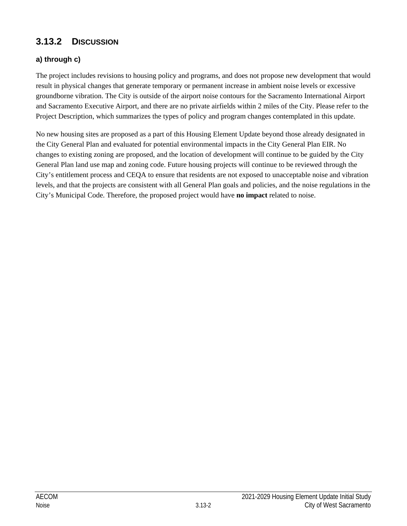### **3.13.2 DISCUSSION**

#### **a) through c)**

The project includes revisions to housing policy and programs, and does not propose new development that would result in physical changes that generate temporary or permanent increase in ambient noise levels or excessive groundborne vibration. The City is outside of the airport noise contours for the Sacramento International Airport and Sacramento Executive Airport, and there are no private airfields within 2 miles of the City. Please refer to the Project Description, which summarizes the types of policy and program changes contemplated in this update.

No new housing sites are proposed as a part of this Housing Element Update beyond those already designated in the City General Plan and evaluated for potential environmental impacts in the City General Plan EIR. No changes to existing zoning are proposed, and the location of development will continue to be guided by the City General Plan land use map and zoning code. Future housing projects will continue to be reviewed through the City's entitlement process and CEQA to ensure that residents are not exposed to unacceptable noise and vibration levels, and that the projects are consistent with all General Plan goals and policies, and the noise regulations in the City's Municipal Code. Therefore, the proposed project would have **no impact** related to noise.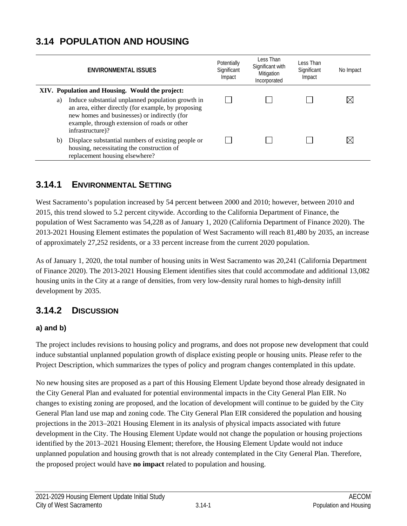### **3.14 POPULATION AND HOUSING**

|    | <b>ENVIRONMENTAL ISSUES</b>                                                                                                                                                                                                  | Potentially<br>Significant<br>Impact | Less Than<br>Significant with<br>Mitigation<br>Incorporated | Less Than<br>Significant<br>Impact | No Impact |
|----|------------------------------------------------------------------------------------------------------------------------------------------------------------------------------------------------------------------------------|--------------------------------------|-------------------------------------------------------------|------------------------------------|-----------|
|    | XIV. Population and Housing. Would the project:                                                                                                                                                                              |                                      |                                                             |                                    |           |
| a) | Induce substantial unplanned population growth in<br>an area, either directly (for example, by proposing<br>new homes and businesses) or indirectly (for<br>example, through extension of roads or other<br>infrastructure)? |                                      |                                                             |                                    | $\bowtie$ |
| b) | Displace substantial numbers of existing people or<br>housing, necessitating the construction of<br>replacement housing elsewhere?                                                                                           |                                      |                                                             |                                    | M         |

#### **3.14.1 ENVIRONMENTAL SETTING**

West Sacramento's population increased by 54 percent between 2000 and 2010; however, between 2010 and 2015, this trend slowed to 5.2 percent citywide. According to the California Department of Finance, the population of West Sacramento was 54,228 as of January 1, 2020 (California Department of Finance 2020). The 2013-2021 Housing Element estimates the population of West Sacramento will reach 81,480 by 2035, an increase of approximately 27,252 residents, or a 33 percent increase from the current 2020 population.

As of January 1, 2020, the total number of housing units in West Sacramento was 20,241 (California Department of Finance 2020). The 2013-2021 Housing Element identifies sites that could accommodate and additional 13,082 housing units in the City at a range of densities, from very low-density rural homes to high-density infill development by 2035.

### **3.14.2 DISCUSSION**

#### **a) and b)**

The project includes revisions to housing policy and programs, and does not propose new development that could induce substantial unplanned population growth of displace existing people or housing units. Please refer to the Project Description, which summarizes the types of policy and program changes contemplated in this update.

No new housing sites are proposed as a part of this Housing Element Update beyond those already designated in the City General Plan and evaluated for potential environmental impacts in the City General Plan EIR. No changes to existing zoning are proposed, and the location of development will continue to be guided by the City General Plan land use map and zoning code. The City General Plan EIR considered the population and housing projections in the 2013–2021 Housing Element in its analysis of physical impacts associated with future development in the City. The Housing Element Update would not change the population or housing projections identified by the 2013–2021 Housing Element; therefore, the Housing Element Update would not induce unplanned population and housing growth that is not already contemplated in the City General Plan. Therefore, the proposed project would have **no impact** related to population and housing.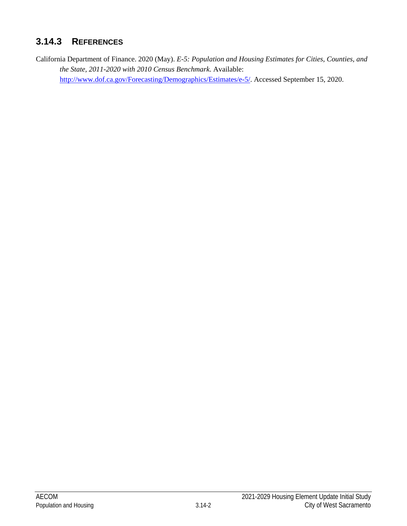### **3.14.3 REFERENCES**

California Department of Finance. 2020 (May). *E-5: Population and Housing Estimates for Cities, Counties, and the State, 2011-2020 with 2010 Census Benchmark*. Available: [http://www.dof.ca.gov/Forecasting/Demographics/Estimates/e-5/.](http://www.dof.ca.gov/Forecasting/Demographics/Estimates/e-5/) Accessed September 15, 2020.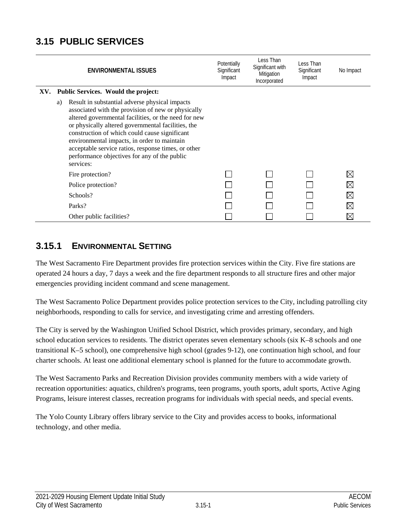### **3.15 PUBLIC SERVICES**

|     | <b>ENVIRONMENTAL ISSUES</b>                                                                                                                                                                                                                                                                                                                                                                                                                  | Potentially<br>Significant<br>Impact | Less Than<br>Significant with<br>Mitigation<br>Incorporated | Less Than<br>Significant<br>Impact | No Impact   |
|-----|----------------------------------------------------------------------------------------------------------------------------------------------------------------------------------------------------------------------------------------------------------------------------------------------------------------------------------------------------------------------------------------------------------------------------------------------|--------------------------------------|-------------------------------------------------------------|------------------------------------|-------------|
| XV. | Public Services. Would the project:                                                                                                                                                                                                                                                                                                                                                                                                          |                                      |                                                             |                                    |             |
|     | Result in substantial adverse physical impacts<br>a)<br>associated with the provision of new or physically<br>altered governmental facilities, or the need for new<br>or physically altered governmental facilities, the<br>construction of which could cause significant<br>environmental impacts, in order to maintain<br>acceptable service ratios, response times, or other<br>performance objectives for any of the public<br>services: |                                      |                                                             |                                    |             |
|     | Fire protection?                                                                                                                                                                                                                                                                                                                                                                                                                             |                                      |                                                             |                                    | $\boxtimes$ |
|     | Police protection?                                                                                                                                                                                                                                                                                                                                                                                                                           |                                      |                                                             |                                    | $\boxtimes$ |
|     | Schools?                                                                                                                                                                                                                                                                                                                                                                                                                                     |                                      |                                                             |                                    | $\boxtimes$ |
|     | Parks?                                                                                                                                                                                                                                                                                                                                                                                                                                       |                                      |                                                             |                                    | $\bowtie$   |
|     | Other public facilities?                                                                                                                                                                                                                                                                                                                                                                                                                     |                                      |                                                             |                                    | $\boxtimes$ |

#### **3.15.1 ENVIRONMENTAL SETTING**

The West Sacramento Fire Department provides fire protection services within the City. Five fire stations are operated 24 hours a day, 7 days a week and the fire department responds to all structure fires and other major emergencies providing incident command and scene management.

The West Sacramento Police Department provides police protection services to the City, including patrolling city neighborhoods, responding to calls for service, and investigating crime and arresting offenders.

The City is served by the Washington Unified School District, which provides primary, secondary, and high school education services to residents. The district operates seven elementary schools (six K–8 schools and one transitional K–5 school), one comprehensive high school (grades 9-12), one continuation high school, and four charter schools. At least one additional elementary school is planned for the future to accommodate growth.

The West Sacramento Parks and Recreation Division provides community members with a wide variety of recreation opportunities: aquatics, children's programs, teen programs, youth sports, adult sports, Active Aging Programs, leisure interest classes, recreation programs for individuals with special needs, and special events.

The Yolo County Library offers library service to the City and provides access to books, informational technology, and other media.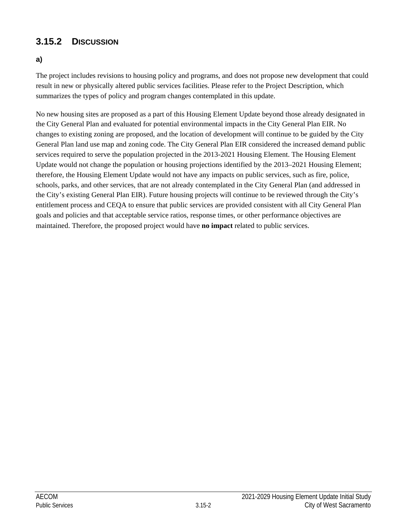#### **3.15.2 DISCUSSION**

#### **a)**

The project includes revisions to housing policy and programs, and does not propose new development that could result in new or physically altered public services facilities. Please refer to the Project Description, which summarizes the types of policy and program changes contemplated in this update.

No new housing sites are proposed as a part of this Housing Element Update beyond those already designated in the City General Plan and evaluated for potential environmental impacts in the City General Plan EIR. No changes to existing zoning are proposed, and the location of development will continue to be guided by the City General Plan land use map and zoning code. The City General Plan EIR considered the increased demand public services required to serve the population projected in the 2013-2021 Housing Element. The Housing Element Update would not change the population or housing projections identified by the 2013–2021 Housing Element; therefore, the Housing Element Update would not have any impacts on public services, such as fire, police, schools, parks, and other services, that are not already contemplated in the City General Plan (and addressed in the City's existing General Plan EIR). Future housing projects will continue to be reviewed through the City's entitlement process and CEQA to ensure that public services are provided consistent with all City General Plan goals and policies and that acceptable service ratios, response times, or other performance objectives are maintained. Therefore, the proposed project would have **no impact** related to public services.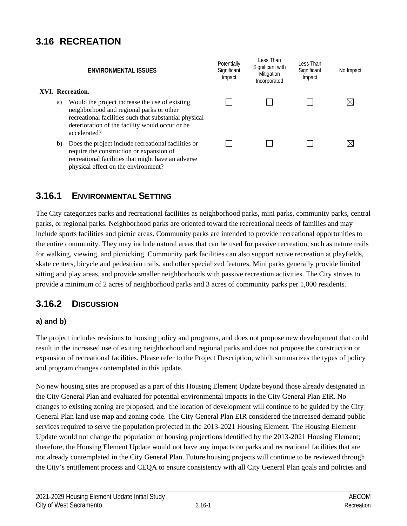### **3.16 RECREATION**

|                  | <b>ENVIRONMENTAL ISSUES</b>                                                                                                                                                                                             | Potentially<br>Significant<br>Impact | Less Than<br>Significant with<br>Mitigation<br>Incorporated | Less Than<br>Significant<br>Impact | No Impact   |
|------------------|-------------------------------------------------------------------------------------------------------------------------------------------------------------------------------------------------------------------------|--------------------------------------|-------------------------------------------------------------|------------------------------------|-------------|
| XVI. Recreation. |                                                                                                                                                                                                                         |                                      |                                                             |                                    |             |
| a)               | Would the project increase the use of existing<br>neighborhood and regional parks or other<br>recreational facilities such that substantial physical<br>deterioration of the facility would occur or be<br>accelerated? |                                      |                                                             |                                    | $\bowtie$   |
| b)               | Does the project include recreational facilities or<br>require the construction or expansion of<br>recreational facilities that might have an adverse<br>physical effect on the environment?                            |                                      |                                                             |                                    | $\boxtimes$ |

#### **3.16.1 ENVIRONMENTAL SETTING**

The City categorizes parks and recreational facilities as neighborhood parks, mini parks, community parks, central parks, or regional parks. Neighborhood parks are oriented toward the recreational needs of families and may include sports facilities and picnic areas. Community parks are intended to provide recreational opportunities to the entire community. They may include natural areas that can be used for passive recreation, such as nature trails for walking, viewing, and picnicking. Community park facilities can also support active recreation at playfields, skate centers, bicycle and pedestrian trails, and other specialized features. Mini parks generally provide limited sitting and play areas, and provide smaller neighborhoods with passive recreation activities. The City strives to provide a minimum of 2 acres of neighborhood parks and 3 acres of community parks per 1,000 residents.

#### **3.16.2 DISCUSSION**

#### **a) and b)**

The project includes revisions to housing policy and programs, and does not propose new development that could result in the increased use of exiting neighborhood and regional parks and does not propose the construction or expansion of recreational facilities. Please refer to the Project Description, which summarizes the types of policy and program changes contemplated in this update.

No new housing sites are proposed as a part of this Housing Element Update beyond those already designated in the City General Plan and evaluated for potential environmental impacts in the City General Plan EIR. No changes to existing zoning are proposed, and the location of development will continue to be guided by the City General Plan land use map and zoning code. The City General Plan EIR considered the increased demand public services required to serve the population projected in the 2013-2021 Housing Element. The Housing Element Update would not change the population or housing projections identified by the 2013-2021 Housing Element; therefore, the Housing Element Update would not have any impacts on parks and recreational facilities that are not already contemplated in the City General Plan. Future housing projects will continue to be reviewed through the City's entitlement process and CEQA to ensure consistency with all City General Plan goals and policies and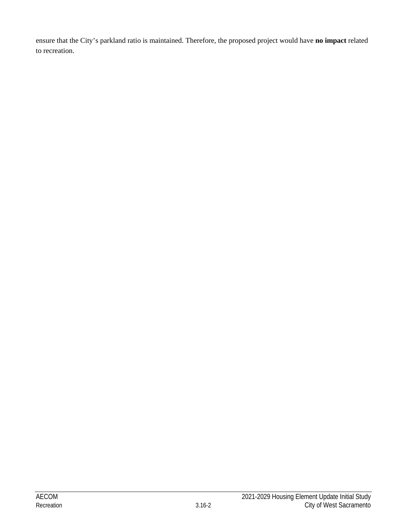ensure that the City's parkland ratio is maintained. Therefore, the proposed project would have **no impact** related to recreation.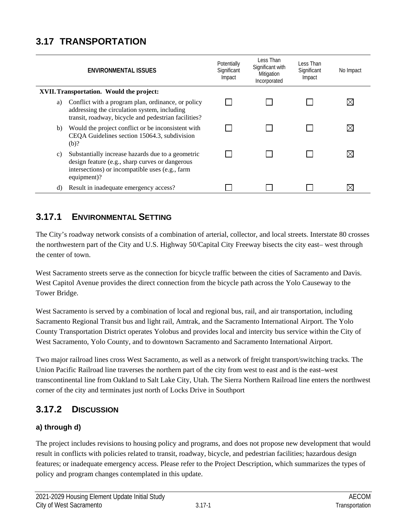### **3.17 TRANSPORTATION**

|    | ENVIRONMENTAL ISSUES                                                                                                                                                   | Potentially<br>Significant<br>Impact | Less Than<br>Significant with<br>Mitigation<br>Incorporated | Less Than<br>Significant<br>Impact | No Impact   |
|----|------------------------------------------------------------------------------------------------------------------------------------------------------------------------|--------------------------------------|-------------------------------------------------------------|------------------------------------|-------------|
|    | XVII. Transportation. Would the project:                                                                                                                               |                                      |                                                             |                                    |             |
| a) | Conflict with a program plan, ordinance, or policy<br>addressing the circulation system, including<br>transit, roadway, bicycle and pedestrian facilities?             |                                      |                                                             |                                    | $\boxtimes$ |
| b) | Would the project conflict or be inconsistent with<br>CEQA Guidelines section 15064.3, subdivision<br>(b)?                                                             |                                      |                                                             |                                    | $\boxtimes$ |
| C) | Substantially increase hazards due to a geometric<br>design feature (e.g., sharp curves or dangerous<br>intersections) or incompatible uses (e.g., farm<br>equipment)? |                                      |                                                             |                                    | $\boxtimes$ |
| d) | Result in inadequate emergency access?                                                                                                                                 |                                      |                                                             |                                    | $\boxtimes$ |

#### **3.17.1 ENVIRONMENTAL SETTING**

The City's roadway network consists of a combination of arterial, collector, and local streets. Interstate 80 crosses the northwestern part of the City and U.S. Highway 50/Capital City Freeway bisects the city east– west through the center of town.

West Sacramento streets serve as the connection for bicycle traffic between the cities of Sacramento and Davis. West Capitol Avenue provides the direct connection from the bicycle path across the Yolo Causeway to the Tower Bridge.

West Sacramento is served by a combination of local and regional bus, rail, and air transportation, including Sacramento Regional Transit bus and light rail, Amtrak, and the Sacramento International Airport. The Yolo County Transportation District operates Yolobus and provides local and intercity bus service within the City of West Sacramento, Yolo County, and to downtown Sacramento and Sacramento International Airport.

Two major railroad lines cross West Sacramento, as well as a network of freight transport/switching tracks. The Union Pacific Railroad line traverses the northern part of the city from west to east and is the east–west transcontinental line from Oakland to Salt Lake City, Utah. The Sierra Northern Railroad line enters the northwest corner of the city and terminates just north of Locks Drive in Southport

#### **3.17.2 DISCUSSION**

#### **a) through d)**

The project includes revisions to housing policy and programs, and does not propose new development that would result in conflicts with policies related to transit, roadway, bicycle, and pedestrian facilities; hazardous design features; or inadequate emergency access. Please refer to the Project Description, which summarizes the types of policy and program changes contemplated in this update.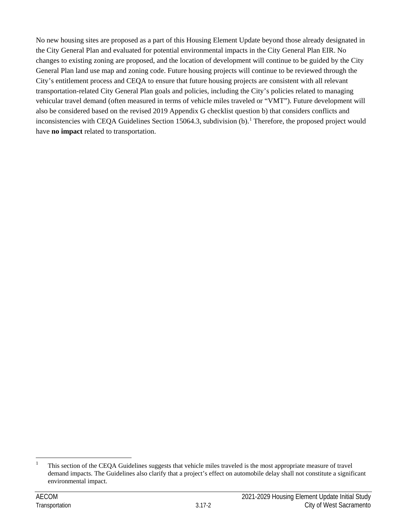No new housing sites are proposed as a part of this Housing Element Update beyond those already designated in the City General Plan and evaluated for potential environmental impacts in the City General Plan EIR. No changes to existing zoning are proposed, and the location of development will continue to be guided by the City General Plan land use map and zoning code. Future housing projects will continue to be reviewed through the City's entitlement process and CEQA to ensure that future housing projects are consistent with all relevant transportation-related City General Plan goals and policies, including the City's policies related to managing vehicular travel demand (often measured in terms of vehicle miles traveled or "VMT"). Future development will also be considered based on the revised 2019 Appendix G checklist question b) that considers conflicts and inconsistencies with CEQA Guidelines Section 15064.3, subdivision (b). [1](#page-47-0) Therefore, the proposed project would have **no impact** related to transportation.

<span id="page-47-0"></span><sup>&</sup>lt;sup>1</sup> This section of the CEQA Guidelines suggests that vehicle miles traveled is the most appropriate measure of travel demand impacts. The Guidelines also clarify that a project's effect on automobile delay shall not constitute a significant environmental impact.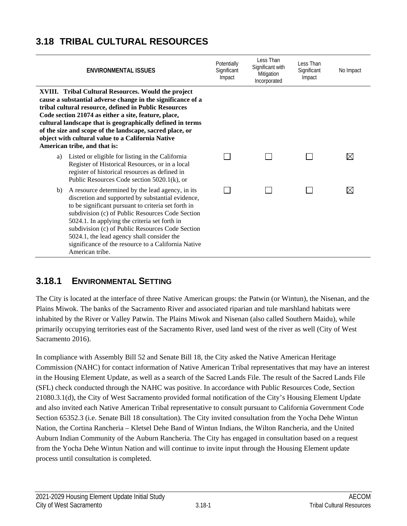#### Less Than **Potentially** Less Than Significant with **ENVIRONMENTAL ISSUES Significant Significant** No Impact **Mitigation** Impact Impact Incorporated **XVIII. Tribal Cultural Resources. Would the project cause a substantial adverse change in the significance of a tribal cultural resource, defined in Public Resources Code section 21074 as either a site, feature, place, cultural landscape that is geographically defined in terms of the size and scope of the landscape, sacred place, or object with cultural value to a California Native American tribe, and that is:** D D D a) Listed or eligible for listing in the California ⊠ Register of Historical Resources, or in a local register of historical resources as defined in Public Resources Code section 5020.1(k), or b) A resource determined by the lead agency, in its D D D  $\boxtimes$ discretion and supported by substantial evidence, to be significant pursuant to criteria set forth in subdivision (c) of Public Resources Code Section 5024.1. In applying the criteria set forth in subdivision (c) of Public Resources Code Section 5024.1, the lead agency shall consider the significance of the resource to a California Native American tribe.

### **3.18 TRIBAL CULTURAL RESOURCES**

#### **3.18.1 ENVIRONMENTAL SETTING**

The City is located at the interface of three Native American groups: the Patwin (or Wintun), the Nisenan, and the Plains Miwok. The banks of the Sacramento River and associated riparian and tule marshland habitats were inhabited by the River or Valley Patwin. The Plains Miwok and Nisenan (also called Southern Maidu), while primarily occupying territories east of the Sacramento River, used land west of the river as well (City of West Sacramento 2016).

In compliance with Assembly Bill 52 and Senate Bill 18, the City asked the Native American Heritage Commission (NAHC) for contact information of Native American Tribal representatives that may have an interest in the Housing Element Update, as well as a search of the Sacred Lands File. The result of the Sacred Lands File (SFL) check conducted through the NAHC was positive. In accordance with Public Resources Code, Section 21080.3.1(d), the City of West Sacramento provided formal notification of the City's Housing Element Update and also invited each Native American Tribal representative to consult pursuant to California Government Code Section 65352.3 (i.e. Senate Bill 18 consultation). The City invited consultation from the Yocha Dehe Wintun Nation, the Cortina Rancheria – Kletsel Dehe Band of Wintun Indians, the Wilton Rancheria, and the United Auburn Indian Community of the Auburn Rancheria. The City has engaged in consultation based on a request from the Yocha Dehe Wintun Nation and will continue to invite input through the Housing Element update process until consultation is completed.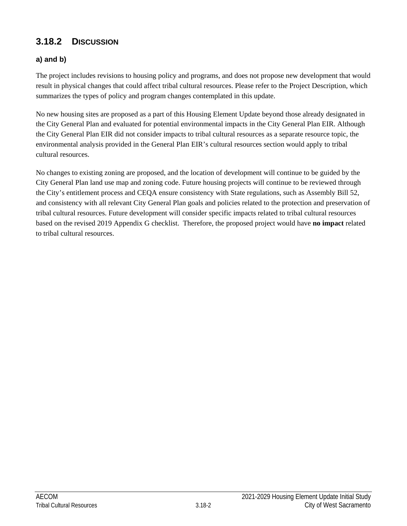### **3.18.2 DISCUSSION**

#### **a) and b)**

The project includes revisions to housing policy and programs, and does not propose new development that would result in physical changes that could affect tribal cultural resources. Please refer to the Project Description, which summarizes the types of policy and program changes contemplated in this update.

No new housing sites are proposed as a part of this Housing Element Update beyond those already designated in the City General Plan and evaluated for potential environmental impacts in the City General Plan EIR. Although the City General Plan EIR did not consider impacts to tribal cultural resources as a separate resource topic, the environmental analysis provided in the General Plan EIR's cultural resources section would apply to tribal cultural resources.

No changes to existing zoning are proposed, and the location of development will continue to be guided by the City General Plan land use map and zoning code. Future housing projects will continue to be reviewed through the City's entitlement process and CEQA ensure consistency with State regulations, such as Assembly Bill 52, and consistency with all relevant City General Plan goals and policies related to the protection and preservation of tribal cultural resources. Future development will consider specific impacts related to tribal cultural resources based on the revised 2019 Appendix G checklist. Therefore, the proposed project would have **no impact** related to tribal cultural resources.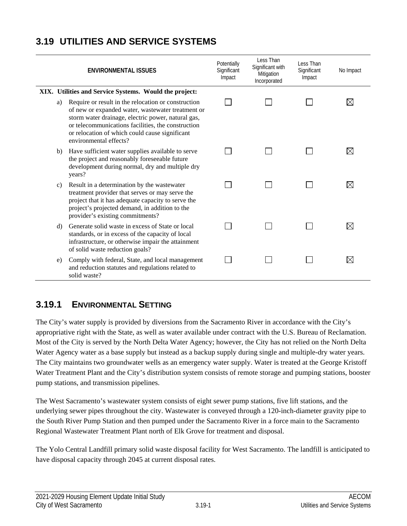### **3.19 UTILITIES AND SERVICE SYSTEMS**

|    | <b>ENVIRONMENTAL ISSUES</b>                                                                                                                                                                                                                                                                      | Potentially<br>Significant<br>Impact | Less Than<br>Significant with<br>Mitigation<br>Incorporated | Less Than<br>Significant<br>Impact | No Impact   |
|----|--------------------------------------------------------------------------------------------------------------------------------------------------------------------------------------------------------------------------------------------------------------------------------------------------|--------------------------------------|-------------------------------------------------------------|------------------------------------|-------------|
|    | XIX. Utilities and Service Systems. Would the project:                                                                                                                                                                                                                                           |                                      |                                                             |                                    |             |
| a) | Require or result in the relocation or construction<br>of new or expanded water, wastewater treatment or<br>storm water drainage, electric power, natural gas,<br>or telecommunications facilities, the construction<br>or relocation of which could cause significant<br>environmental effects? |                                      |                                                             |                                    | IХ          |
| b) | Have sufficient water supplies available to serve<br>the project and reasonably foreseeable future<br>development during normal, dry and multiple dry<br>years?                                                                                                                                  |                                      |                                                             |                                    | $\bowtie$   |
| c) | Result in a determination by the was tewater<br>treatment provider that serves or may serve the<br>project that it has adequate capacity to serve the<br>project's projected demand, in addition to the<br>provider's existing commitments?                                                      |                                      |                                                             |                                    | $\bowtie$   |
| d) | Generate solid waste in excess of State or local<br>standards, or in excess of the capacity of local<br>infrastructure, or otherwise impair the attainment<br>of solid waste reduction goals?                                                                                                    |                                      |                                                             |                                    | $\bowtie$   |
| e) | Comply with federal, State, and local management<br>and reduction statutes and regulations related to<br>solid waste?                                                                                                                                                                            |                                      |                                                             |                                    | $\boxtimes$ |

#### **3.19.1 ENVIRONMENTAL SETTING**

The City's water supply is provided by diversions from the Sacramento River in accordance with the City's appropriative right with the State, as well as water available under contract with the U.S. Bureau of Reclamation. Most of the City is served by the North Delta Water Agency; however, the City has not relied on the North Delta Water Agency water as a base supply but instead as a backup supply during single and multiple-dry water years. The City maintains two groundwater wells as an emergency water supply. Water is treated at the George Kristoff Water Treatment Plant and the City's distribution system consists of remote storage and pumping stations, booster pump stations, and transmission pipelines.

The West Sacramento's wastewater system consists of eight sewer pump stations, five lift stations, and the underlying sewer pipes throughout the city. Wastewater is conveyed through a 120-inch-diameter gravity pipe to the South River Pump Station and then pumped under the Sacramento River in a force main to the Sacramento Regional Wastewater Treatment Plant north of Elk Grove for treatment and disposal.

The Yolo Central Landfill primary solid waste disposal facility for West Sacramento. The landfill is anticipated to have disposal capacity through 2045 at current disposal rates.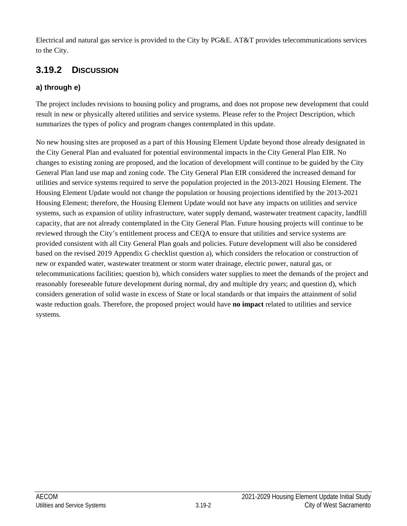Electrical and natural gas service is provided to the City by PG&E. AT&T provides telecommunications services to the City.

### **3.19.2 DISCUSSION**

#### **a) through e)**

The project includes revisions to housing policy and programs, and does not propose new development that could result in new or physically altered utilities and service systems. Please refer to the Project Description, which summarizes the types of policy and program changes contemplated in this update.

No new housing sites are proposed as a part of this Housing Element Update beyond those already designated in the City General Plan and evaluated for potential environmental impacts in the City General Plan EIR. No changes to existing zoning are proposed, and the location of development will continue to be guided by the City General Plan land use map and zoning code. The City General Plan EIR considered the increased demand for utilities and service systems required to serve the population projected in the 2013-2021 Housing Element. The Housing Element Update would not change the population or housing projections identified by the 2013-2021 Housing Element; therefore, the Housing Element Update would not have any impacts on utilities and service systems, such as expansion of utility infrastructure, water supply demand, wastewater treatment capacity, landfill capacity, that are not already contemplated in the City General Plan. Future housing projects will continue to be reviewed through the City's entitlement process and CEQA to ensure that utilities and service systems are provided consistent with all City General Plan goals and policies. Future development will also be considered based on the revised 2019 Appendix G checklist question a), which considers the relocation or construction of new or expanded water, wastewater treatment or storm water drainage, electric power, natural gas, or telecommunications facilities; question b), which considers water supplies to meet the demands of the project and reasonably foreseeable future development during normal, dry and multiple dry years; and question d), which considers generation of solid waste in excess of State or local standards or that impairs the attainment of solid waste reduction goals. Therefore, the proposed project would have **no impact** related to utilities and service systems.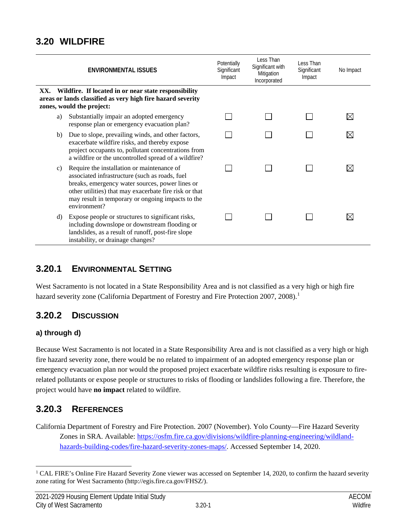#### **3.20 WILDFIRE**

|     | <b>ENVIRONMENTAL ISSUES</b>                                                                                                                                                                                                                                                    | Potentially<br>Significant<br>Impact | Less Than<br>Significant with<br>Mitigation<br>Incorporated | Less Than<br>Significant<br>Impact | No Impact   |
|-----|--------------------------------------------------------------------------------------------------------------------------------------------------------------------------------------------------------------------------------------------------------------------------------|--------------------------------------|-------------------------------------------------------------|------------------------------------|-------------|
| XX. | Wildfire. If located in or near state responsibility<br>areas or lands classified as very high fire hazard severity<br>zones, would the project:                                                                                                                               |                                      |                                                             |                                    |             |
| a)  | Substantially impair an adopted emergency<br>response plan or emergency evacuation plan?                                                                                                                                                                                       |                                      |                                                             |                                    | $\boxtimes$ |
| b)  | Due to slope, prevailing winds, and other factors,<br>exacerbate wildfire risks, and thereby expose<br>project occupants to, pollutant concentrations from<br>a wildfire or the uncontrolled spread of a wildfire?                                                             |                                      |                                                             |                                    | ⋉           |
| c)  | Require the installation or maintenance of<br>associated infrastructure (such as roads, fuel<br>breaks, emergency water sources, power lines or<br>other utilities) that may exacerbate fire risk or that<br>may result in temporary or ongoing impacts to the<br>environment? |                                      |                                                             |                                    | $\boxtimes$ |
| d)  | Expose people or structures to significant risks,<br>including downslope or downstream flooding or<br>landslides, as a result of runoff, post-fire slope<br>instability, or drainage changes?                                                                                  |                                      |                                                             |                                    | ⋉           |

#### **3.20.1 ENVIRONMENTAL SETTING**

West Sacramento is not located in a State Responsibility Area and is not classified as a very high or high fire hazard severity zone (California Department of Forestry and Fire Protection 2007, 2008).<sup>[1](#page-52-0)</sup>

#### **3.20.2 DISCUSSION**

#### **a) through d)**

 $\overline{a}$ 

Because West Sacramento is not located in a State Responsibility Area and is not classified as a very high or high fire hazard severity zone, there would be no related to impairment of an adopted emergency response plan or emergency evacuation plan nor would the proposed project exacerbate wildfire risks resulting is exposure to firerelated pollutants or expose people or structures to risks of flooding or landslides following a fire. Therefore, the project would have **no impact** related to wildfire.

#### **3.20.3 REFERENCES**

California Department of Forestry and Fire Protection. 2007 (November). Yolo County—Fire Hazard Severity Zones in SRA. Available: [https://osfm.fire.ca.gov/divisions/wildfire-planning-engineering/wildland](https://osfm.fire.ca.gov/divisions/wildfire-planning-engineering/wildland-hazards-building-codes/fire-hazard-severity-zones-maps/)[hazards-building-codes/fire-hazard-severity-zones-maps/.](https://osfm.fire.ca.gov/divisions/wildfire-planning-engineering/wildland-hazards-building-codes/fire-hazard-severity-zones-maps/) Accessed September 14, 2020.

<span id="page-52-0"></span><sup>&</sup>lt;sup>1</sup> CAL FIRE's Online Fire Hazard Severity Zone viewer was accessed on September 14, 2020, to confirm the hazard severity zone rating for West Sacramento (http://egis.fire.ca.gov/FHSZ/).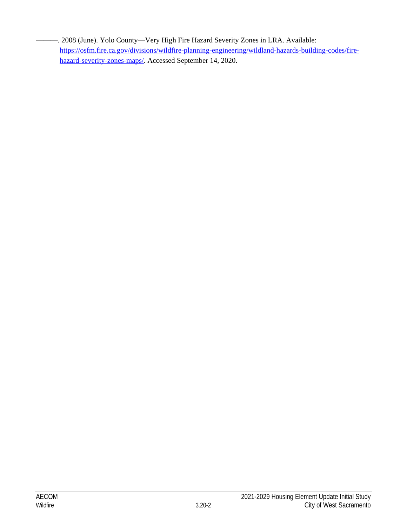-. 2008 (June). Yolo County-Very High Fire Hazard Severity Zones in LRA. Available: [https://osfm.fire.ca.gov/divisions/wildfire-planning-engineering/wildland-hazards-building-codes/fire](https://osfm.fire.ca.gov/divisions/wildfire-planning-engineering/wildland-hazards-building-codes/fire-hazard-severity-zones-maps/)[hazard-severity-zones-maps/.](https://osfm.fire.ca.gov/divisions/wildfire-planning-engineering/wildland-hazards-building-codes/fire-hazard-severity-zones-maps/) Accessed September 14, 2020.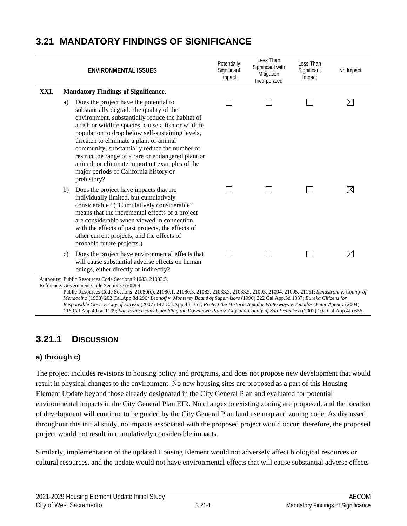### **3.21 MANDATORY FINDINGS OF SIGNIFICANCE**

|      | <b>ENVIRONMENTAL ISSUES</b>                                                                                                                                                                                                                                                                                                                                                                                                                                                                                            | Potentially<br>Significant<br>Impact | Less Than<br>Significant with<br>Mitigation<br>Incorporated | Less Than<br>Significant<br>Impact | No Impact   |
|------|------------------------------------------------------------------------------------------------------------------------------------------------------------------------------------------------------------------------------------------------------------------------------------------------------------------------------------------------------------------------------------------------------------------------------------------------------------------------------------------------------------------------|--------------------------------------|-------------------------------------------------------------|------------------------------------|-------------|
| XXI. | <b>Mandatory Findings of Significance.</b>                                                                                                                                                                                                                                                                                                                                                                                                                                                                             |                                      |                                                             |                                    |             |
|      | Does the project have the potential to<br>a)<br>substantially degrade the quality of the<br>environment, substantially reduce the habitat of<br>a fish or wildlife species, cause a fish or wildlife<br>population to drop below self-sustaining levels,<br>threaten to eliminate a plant or animal<br>community, substantially reduce the number or<br>restrict the range of a rare or endangered plant or<br>animal, or eliminate important examples of the<br>major periods of California history or<br>prehistory? |                                      |                                                             |                                    | $\boxtimes$ |
|      | Does the project have impacts that are<br>b)<br>individually limited, but cumulatively<br>considerable? ("Cumulatively considerable"<br>means that the incremental effects of a project<br>are considerable when viewed in connection<br>with the effects of past projects, the effects of<br>other current projects, and the effects of<br>probable future projects.)                                                                                                                                                 |                                      |                                                             |                                    | $\boxtimes$ |
|      | Does the project have environmental effects that<br>c)<br>will cause substantial adverse effects on human<br>beings, either directly or indirectly?                                                                                                                                                                                                                                                                                                                                                                    |                                      |                                                             |                                    | $\boxtimes$ |
|      | Authority: Public Resources Code Sections 21083, 21083.5.<br>Reference: Government Code Sections 65088.4.<br>Public Resources Code Sections 21080(c), 21080.1, 21080.3, 21083, 21083.3, 21083.5, 21093, 21094, 21095, 21151; Sundstrom v. County of<br>Mendocino (1988) 202 Cal App 3d 296: Leonoff y Monterey Board of Supervisors (1990) 222 Cal App 3d 1337: Eureka Citizens for                                                                                                                                    |                                      |                                                             |                                    |             |

*Mendocino* (1988) 202 Cal.App.3d 296*; Leonoff v. Monterey Board of Supervisors* (1990) 222 Cal.App.3d 1337; *Eureka Citizens for Responsible Govt. v. City of Eureka* (2007) 147 Cal.App.4th 357; *Protect the Historic Amador Waterways v. Amador Water Agency* (2004) 116 Cal.App.4th at 1109; *San Franciscans Upholding the Downtown Plan v. City and County of San Francisco* (2002) 102 Cal.App.4th 656.

### **3.21.1 DISCUSSION**

#### **a) through c)**

The project includes revisions to housing policy and programs, and does not propose new development that would result in physical changes to the environment. No new housing sites are proposed as a part of this Housing Element Update beyond those already designated in the City General Plan and evaluated for potential environmental impacts in the City General Plan EIR. No changes to existing zoning are proposed, and the location of development will continue to be guided by the City General Plan land use map and zoning code. As discussed throughout this initial study, no impacts associated with the proposed project would occur; therefore, the proposed project would not result in cumulatively considerable impacts.

Similarly, implementation of the updated Housing Element would not adversely affect biological resources or cultural resources, and the update would not have environmental effects that will cause substantial adverse effects